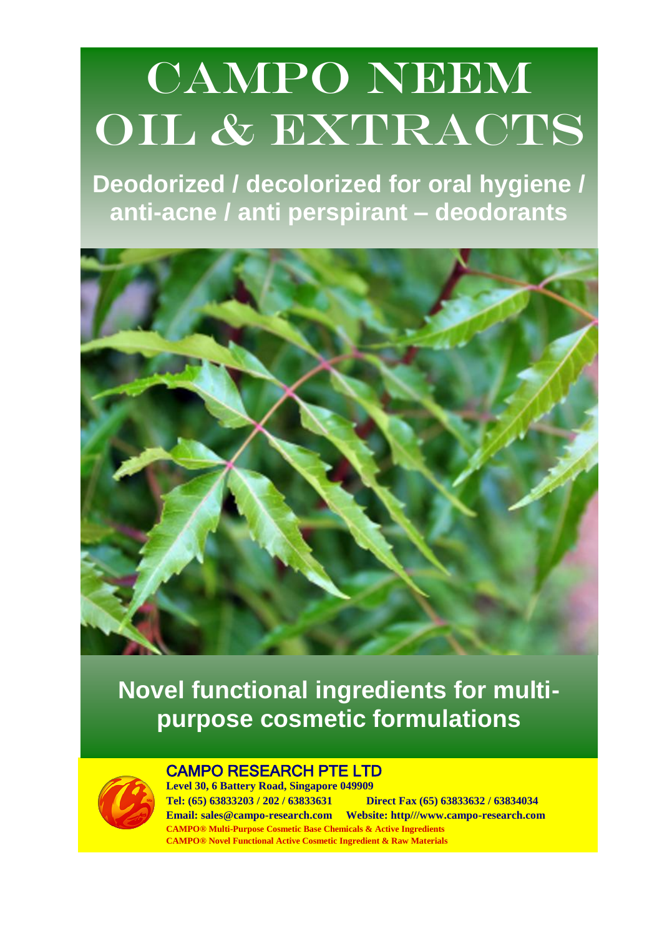# CAMPO NEEM OIL & EXTRACTS

**Deodorized / decolorized for oral hygiene / anti-acne / anti perspirant – deodorants**



**Novel functional ingredients for multipurpose cosmetic formulations**



## CAMPO RESEARCH PTE LTD

**Level 30, 6 Battery Road, Singapore 049909 Tel: (65) 63833203 / 202 / 63833631 Direct Fax (65) 63833632 / 63834034 Email: sales@campo-research.com Website: http///www.campo-research.com CAMPO® Multi-Purpose Cosmetic Base Chemicals & Active Ingredients CAMPO® Novel Functional Active Cosmetic Ingredient & Raw Materials**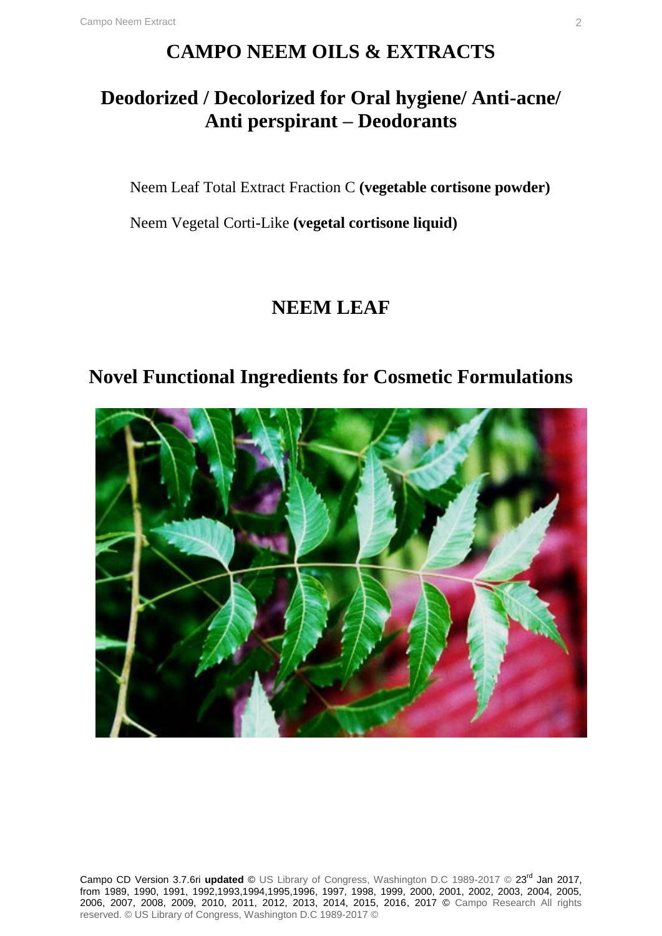# **CAMPO NEEM OILS & EXTRACTS**

# **Deodorized / Decolorized for Oral hygiene/ Anti-acne/ Anti perspirant – Deodorants**

Neem Leaf Total Extract Fraction C **(vegetable cortisone powder)**

Neem Vegetal Corti-Like **(vegetal cortisone liquid)**

# **NEEM LEAF**

# **Novel Functional Ingredients for Cosmetic Formulations**



Campo CD Version 3.7.6ri **updated** © US Library of Congress, Washington D.C 1989-2017 © 23rd Jan 2017, from 1989, 1990, 1991, 1992,1993,1994,1995,1996, 1997, 1998, 1999, 2000, 2001, 2002, 2003, 2004, 2005, 2006, 2007, 2008, 2009, 2010, 2011, 2012, 2013, 2014, 2015, 2016, 2017 © Campo Research All rights reserved. © US Library of Congress, Washington D.C 1989-2017 ©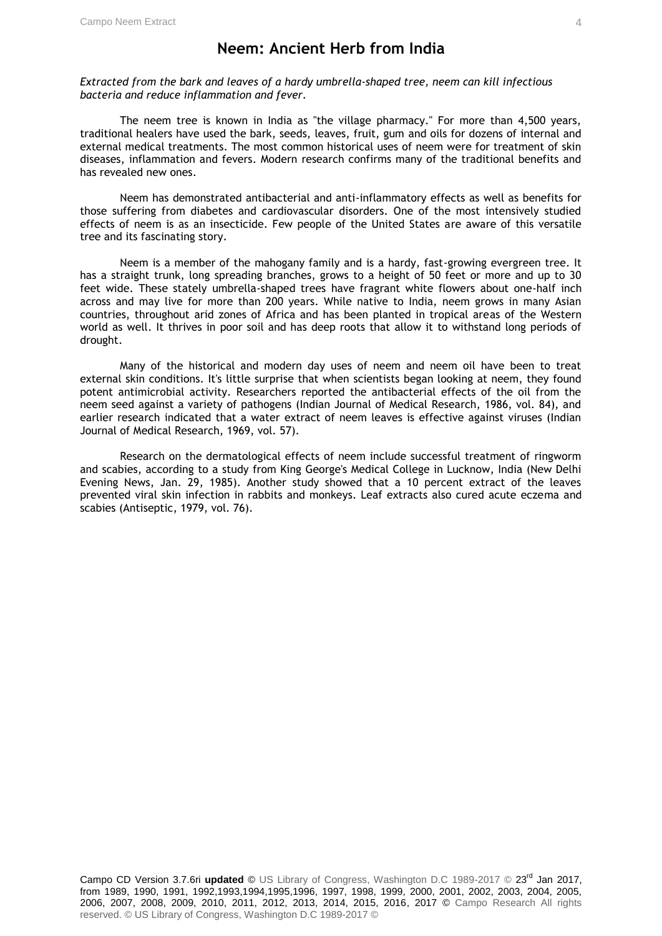### **Neem: Ancient Herb from India**

*Extracted from the bark and leaves of a hardy umbrella-shaped tree, neem can kill infectious bacteria and reduce inflammation and fever.*

The neem tree is known in India as "the village pharmacy." For more than 4,500 years, traditional healers have used the bark, seeds, leaves, fruit, gum and oils for dozens of internal and external medical treatments. The most common historical uses of neem were for treatment of skin diseases, inflammation and fevers. Modern research confirms many of the traditional benefits and has revealed new ones.

Neem has demonstrated antibacterial and anti-inflammatory effects as well as benefits for those suffering from diabetes and cardiovascular disorders. One of the most intensively studied effects of neem is as an insecticide. Few people of the United States are aware of this versatile tree and its fascinating story.

Neem is a member of the mahogany family and is a hardy, fast-growing evergreen tree. It has a straight trunk, long spreading branches, grows to a height of 50 feet or more and up to 30 feet wide. These stately umbrella-shaped trees have fragrant white flowers about one-half inch across and may live for more than 200 years. While native to India, neem grows in many Asian countries, throughout arid zones of Africa and has been planted in tropical areas of the Western world as well. It thrives in poor soil and has deep roots that allow it to withstand long periods of drought.

Many of the historical and modern day uses of neem and neem oil have been to treat external skin conditions. It's little surprise that when scientists began looking at neem, they found potent antimicrobial activity. Researchers reported the antibacterial effects of the oil from the neem seed against a variety of pathogens (Indian Journal of Medical Research, 1986, vol. 84), and earlier research indicated that a water extract of neem leaves is effective against viruses (Indian Journal of Medical Research, 1969, vol. 57).

Research on the dermatological effects of neem include successful treatment of ringworm and scabies, according to a study from King George's Medical College in Lucknow, India (New Delhi Evening News, Jan. 29, 1985). Another study showed that a 10 percent extract of the leaves prevented viral skin infection in rabbits and monkeys. Leaf extracts also cured acute eczema and scabies (Antiseptic, 1979, vol. 76).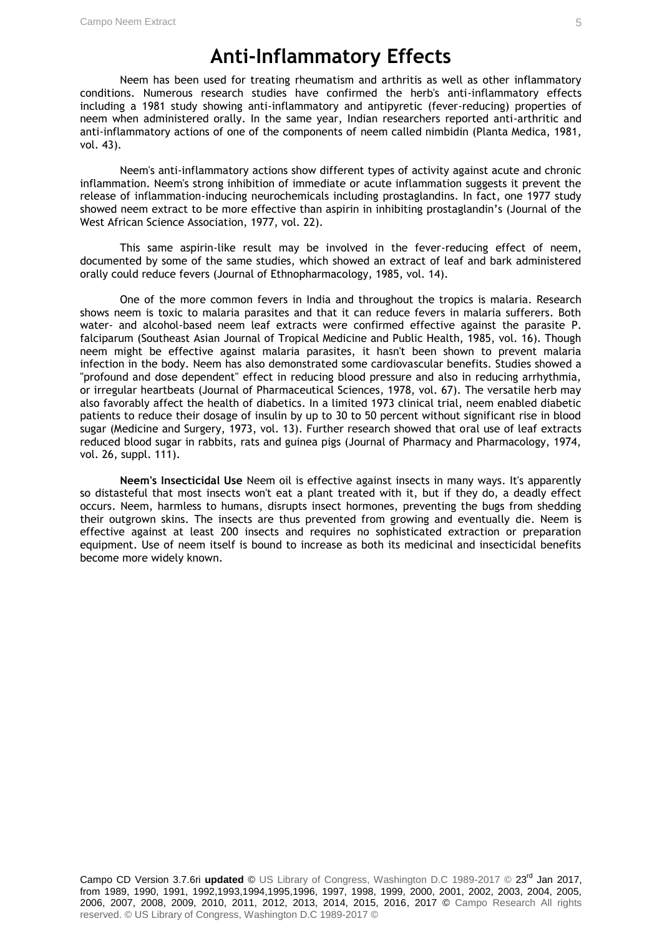## **Anti-Inflammatory Effects**

Neem has been used for treating rheumatism and arthritis as well as other inflammatory conditions. Numerous research studies have confirmed the herb's anti-inflammatory effects including a 1981 study showing anti-inflammatory and antipyretic (fever-reducing) properties of neem when administered orally. In the same year, Indian researchers reported anti-arthritic and anti-inflammatory actions of one of the components of neem called nimbidin (Planta Medica, 1981, vol. 43).

Neem's anti-inflammatory actions show different types of activity against acute and chronic inflammation. Neem's strong inhibition of immediate or acute inflammation suggests it prevent the release of inflammation-inducing neurochemicals including prostaglandins. In fact, one 1977 study showed neem extract to be more effective than aspirin in inhibiting prostaglandin's (Journal of the West African Science Association, 1977, vol. 22).

This same aspirin-like result may be involved in the fever-reducing effect of neem, documented by some of the same studies, which showed an extract of leaf and bark administered orally could reduce fevers (Journal of Ethnopharmacology, 1985, vol. 14).

One of the more common fevers in India and throughout the tropics is malaria. Research shows neem is toxic to malaria parasites and that it can reduce fevers in malaria sufferers. Both water- and alcohol-based neem leaf extracts were confirmed effective against the parasite P. falciparum (Southeast Asian Journal of Tropical Medicine and Public Health, 1985, vol. 16). Though neem might be effective against malaria parasites, it hasn't been shown to prevent malaria infection in the body. Neem has also demonstrated some cardiovascular benefits. Studies showed a "profound and dose dependent" effect in reducing blood pressure and also in reducing arrhythmia, or irregular heartbeats (Journal of Pharmaceutical Sciences, 1978, vol. 67). The versatile herb may also favorably affect the health of diabetics. In a limited 1973 clinical trial, neem enabled diabetic patients to reduce their dosage of insulin by up to 30 to 50 percent without significant rise in blood sugar (Medicine and Surgery, 1973, vol. 13). Further research showed that oral use of leaf extracts reduced blood sugar in rabbits, rats and guinea pigs (Journal of Pharmacy and Pharmacology, 1974, vol. 26, suppl. 111).

**Neem's Insecticidal Use** Neem oil is effective against insects in many ways. It's apparently so distasteful that most insects won't eat a plant treated with it, but if they do, a deadly effect occurs. Neem, harmless to humans, disrupts insect hormones, preventing the bugs from shedding their outgrown skins. The insects are thus prevented from growing and eventually die. Neem is effective against at least 200 insects and requires no sophisticated extraction or preparation equipment. Use of neem itself is bound to increase as both its medicinal and insecticidal benefits become more widely known.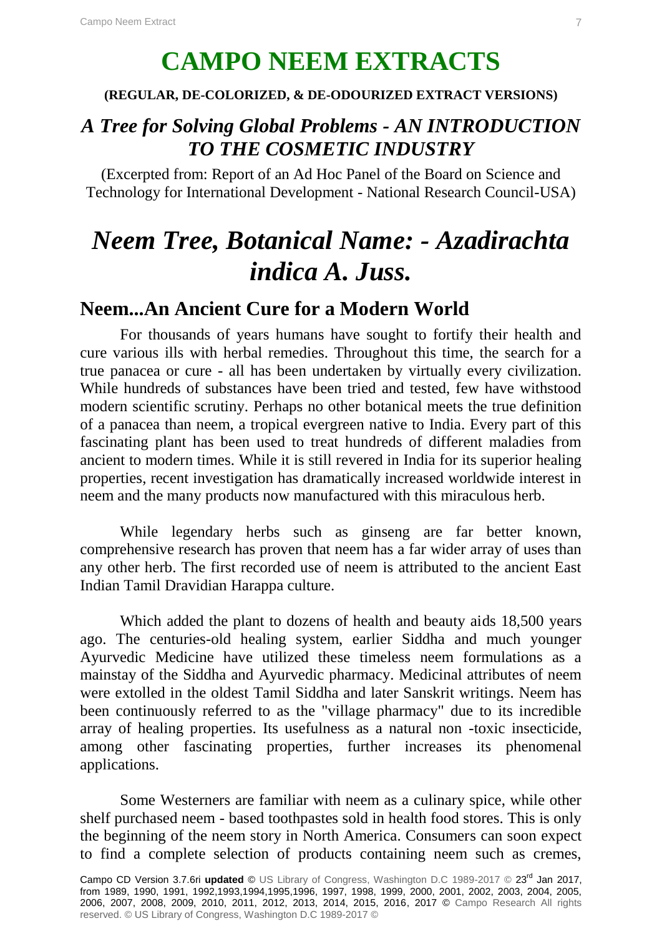# **CAMPO NEEM EXTRACTS**

### **(REGULAR, DE-COLORIZED, & DE-ODOURIZED EXTRACT VERSIONS)**

# *A Tree for Solving Global Problems - AN INTRODUCTION TO THE COSMETIC INDUSTRY*

(Excerpted from: Report of an Ad Hoc Panel of the Board on Science and Technology for International Development - National Research Council-USA)

# *Neem Tree, Botanical Name: - Azadirachta indica A. Juss.*

### **Neem...An Ancient Cure for a Modern World**

For thousands of years humans have sought to fortify their health and cure various ills with herbal remedies. Throughout this time, the search for a true panacea or cure - all has been undertaken by virtually every civilization. While hundreds of substances have been tried and tested, few have withstood modern scientific scrutiny. Perhaps no other botanical meets the true definition of a panacea than neem, a tropical evergreen native to India. Every part of this fascinating plant has been used to treat hundreds of different maladies from ancient to modern times. While it is still revered in India for its superior healing properties, recent investigation has dramatically increased worldwide interest in neem and the many products now manufactured with this miraculous herb.

While legendary herbs such as ginseng are far better known, comprehensive research has proven that neem has a far wider array of uses than any other herb. The first recorded use of neem is attributed to the ancient East Indian Tamil Dravidian Harappa culture.

Which added the plant to dozens of health and beauty aids 18,500 years ago. The centuries-old healing system, earlier Siddha and much younger Ayurvedic Medicine have utilized these timeless neem formulations as a mainstay of the Siddha and Ayurvedic pharmacy. Medicinal attributes of neem were extolled in the oldest Tamil Siddha and later Sanskrit writings. Neem has been continuously referred to as the "village pharmacy" due to its incredible array of healing properties. Its usefulness as a natural non -toxic insecticide, among other fascinating properties, further increases its phenomenal applications.

Some Westerners are familiar with neem as a culinary spice, while other shelf purchased neem - based toothpastes sold in health food stores. This is only the beginning of the neem story in North America. Consumers can soon expect to find a complete selection of products containing neem such as cremes,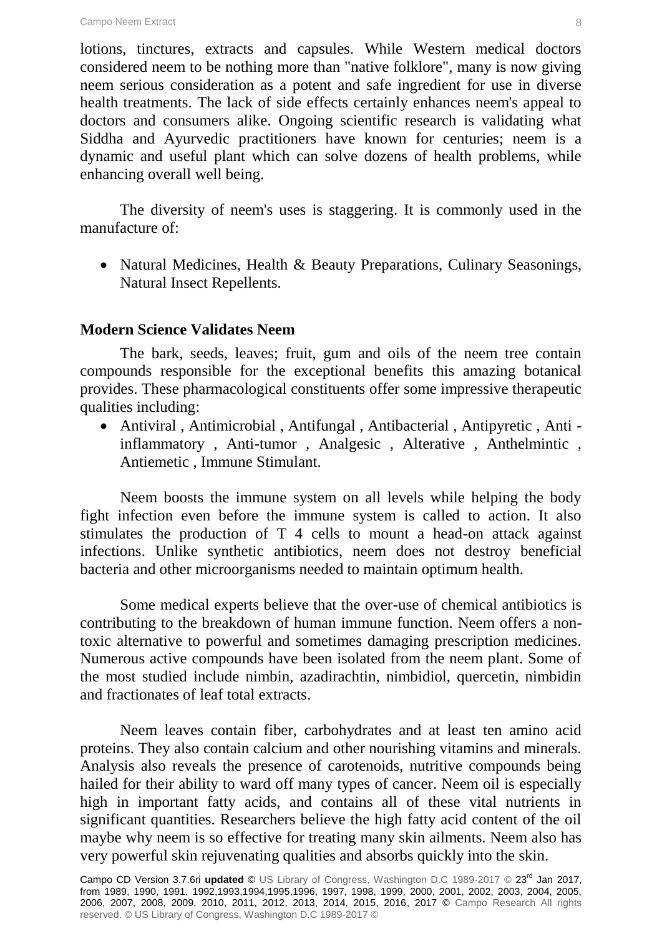lotions, tinctures, extracts and capsules. While Western medical doctors considered neem to be nothing more than "native folklore", many is now giving neem serious consideration as a potent and safe ingredient for use in diverse health treatments. The lack of side effects certainly enhances neem's appeal to doctors and consumers alike. Ongoing scientific research is validating what Siddha and Ayurvedic practitioners have known for centuries; neem is a dynamic and useful plant which can solve dozens of health problems, while enhancing overall well being.

The diversity of neem's uses is staggering. It is commonly used in the manufacture of:

• Natural Medicines, Health & Beauty Preparations, Culinary Seasonings, Natural Insect Repellents.

### **Modern Science Validates Neem**

The bark, seeds, leaves; fruit, gum and oils of the neem tree contain compounds responsible for the exceptional benefits this amazing botanical provides. These pharmacological constituents offer some impressive therapeutic qualities including:

 Antiviral , Antimicrobial , Antifungal , Antibacterial , Antipyretic , Anti inflammatory , Anti-tumor , Analgesic , Alterative , Anthelmintic , Antiemetic , Immune Stimulant.

Neem boosts the immune system on all levels while helping the body fight infection even before the immune system is called to action. It also stimulates the production of T 4 cells to mount a head-on attack against infections. Unlike synthetic antibiotics, neem does not destroy beneficial bacteria and other microorganisms needed to maintain optimum health.

Some medical experts believe that the over-use of chemical antibiotics is contributing to the breakdown of human immune function. Neem offers a nontoxic alternative to powerful and sometimes damaging prescription medicines. Numerous active compounds have been isolated from the neem plant. Some of the most studied include nimbin, azadirachtin, nimbidiol, quercetin, nimbidin and fractionates of leaf total extracts.

Neem leaves contain fiber, carbohydrates and at least ten amino acid proteins. They also contain calcium and other nourishing vitamins and minerals. Analysis also reveals the presence of carotenoids, nutritive compounds being hailed for their ability to ward off many types of cancer. Neem oil is especially high in important fatty acids, and contains all of these vital nutrients in significant quantities. Researchers believe the high fatty acid content of the oil maybe why neem is so effective for treating many skin ailments. Neem also has very powerful skin rejuvenating qualities and absorbs quickly into the skin.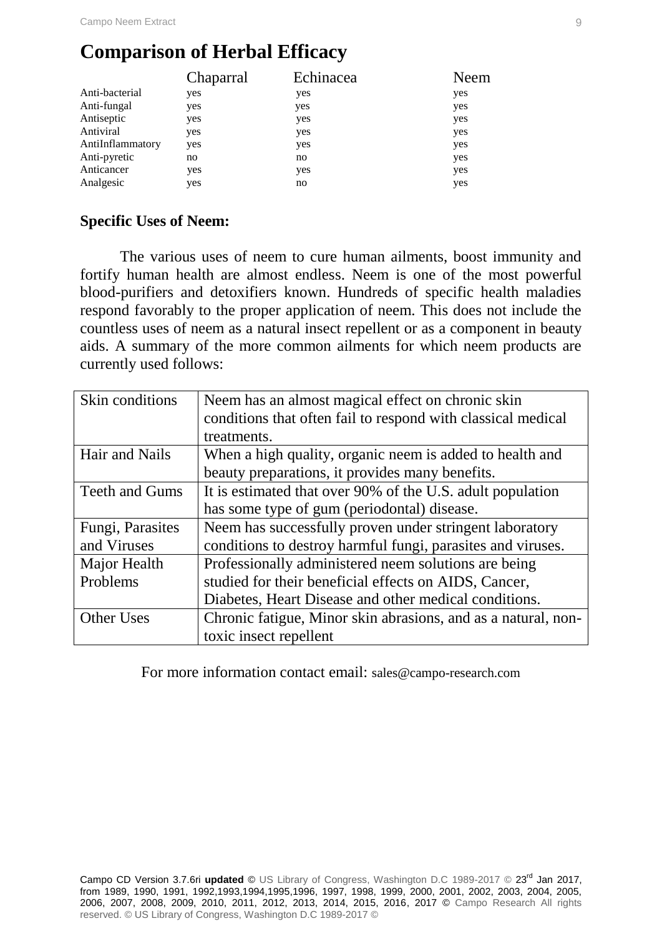# **Comparison of Herbal Efficacy**

|                  | Chaparral | Echinacea | Neem |
|------------------|-----------|-----------|------|
| Anti-bacterial   | yes       | yes       | yes  |
| Anti-fungal      | yes       | yes       | yes  |
| Antiseptic       | yes       | yes       | yes  |
| Antiviral        | yes       | yes       | yes  |
| AntiInflammatory | yes       | yes       | yes  |
| Anti-pyretic     | no        | no        | yes  |
| Anticancer       | yes       | yes       | yes  |
| Analgesic        | yes       | no        | yes  |

### **Specific Uses of Neem:**

The various uses of neem to cure human ailments, boost immunity and fortify human health are almost endless. Neem is one of the most powerful blood-purifiers and detoxifiers known. Hundreds of specific health maladies respond favorably to the proper application of neem. This does not include the countless uses of neem as a natural insect repellent or as a component in beauty aids. A summary of the more common ailments for which neem products are currently used follows:

| Neem has an almost magical effect on chronic skin             |
|---------------------------------------------------------------|
| conditions that often fail to respond with classical medical  |
| treatments.                                                   |
| When a high quality, organic neem is added to health and      |
| beauty preparations, it provides many benefits.               |
| It is estimated that over 90% of the U.S. adult population    |
| has some type of gum (periodontal) disease.                   |
| Neem has successfully proven under stringent laboratory       |
| conditions to destroy harmful fungi, parasites and viruses.   |
| Professionally administered neem solutions are being          |
| studied for their beneficial effects on AIDS, Cancer,         |
| Diabetes, Heart Disease and other medical conditions.         |
| Chronic fatigue, Minor skin abrasions, and as a natural, non- |
| toxic insect repellent                                        |
|                                                               |

For more information contact email: sales@campo-research.com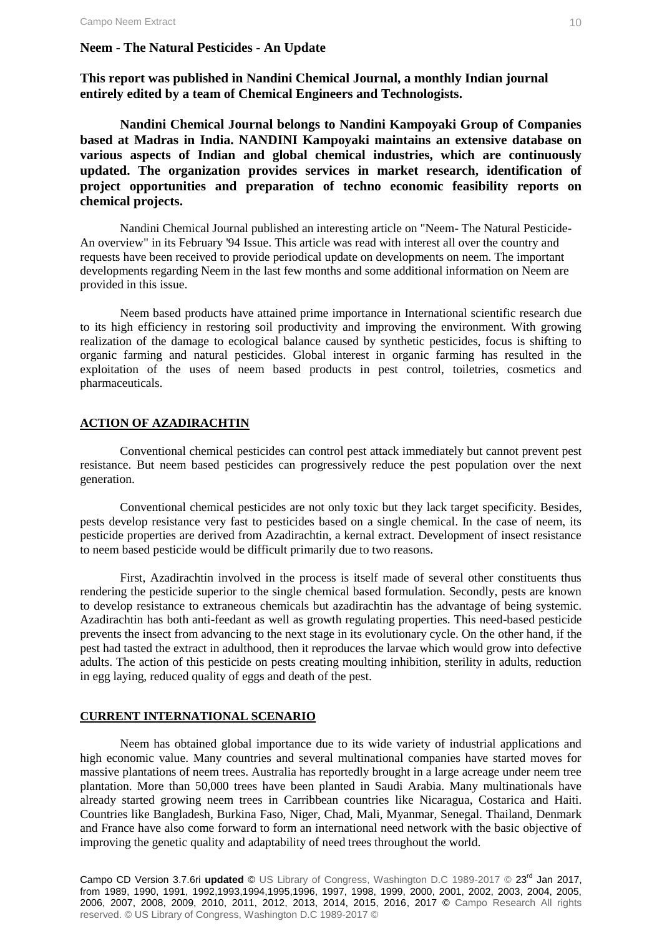#### **Neem - The Natural Pesticides - An Update**

**This report was published in Nandini Chemical Journal, a monthly Indian journal entirely edited by a team of Chemical Engineers and Technologists.** 

**Nandini Chemical Journal belongs to Nandini Kampoyaki Group of Companies based at Madras in India. NANDINI Kampoyaki maintains an extensive database on various aspects of Indian and global chemical industries, which are continuously updated. The organization provides services in market research, identification of project opportunities and preparation of techno economic feasibility reports on chemical projects.** 

Nandini Chemical Journal published an interesting article on "Neem- The Natural Pesticide-An overview" in its February '94 Issue. This article was read with interest all over the country and requests have been received to provide periodical update on developments on neem. The important developments regarding Neem in the last few months and some additional information on Neem are provided in this issue.

Neem based products have attained prime importance in International scientific research due to its high efficiency in restoring soil productivity and improving the environment. With growing realization of the damage to ecological balance caused by synthetic pesticides, focus is shifting to organic farming and natural pesticides. Global interest in organic farming has resulted in the exploitation of the uses of neem based products in pest control, toiletries, cosmetics and pharmaceuticals.

#### **ACTION OF AZADIRACHTIN**

Conventional chemical pesticides can control pest attack immediately but cannot prevent pest resistance. But neem based pesticides can progressively reduce the pest population over the next generation.

Conventional chemical pesticides are not only toxic but they lack target specificity. Besides, pests develop resistance very fast to pesticides based on a single chemical. In the case of neem, its pesticide properties are derived from Azadirachtin, a kernal extract. Development of insect resistance to neem based pesticide would be difficult primarily due to two reasons.

First, Azadirachtin involved in the process is itself made of several other constituents thus rendering the pesticide superior to the single chemical based formulation. Secondly, pests are known to develop resistance to extraneous chemicals but azadirachtin has the advantage of being systemic. Azadirachtin has both anti-feedant as well as growth regulating properties. This need-based pesticide prevents the insect from advancing to the next stage in its evolutionary cycle. On the other hand, if the pest had tasted the extract in adulthood, then it reproduces the larvae which would grow into defective adults. The action of this pesticide on pests creating moulting inhibition, sterility in adults, reduction in egg laying, reduced quality of eggs and death of the pest.

#### **CURRENT INTERNATIONAL SCENARIO**

Neem has obtained global importance due to its wide variety of industrial applications and high economic value. Many countries and several multinational companies have started moves for massive plantations of neem trees. Australia has reportedly brought in a large acreage under neem tree plantation. More than 50,000 trees have been planted in Saudi Arabia. Many multinationals have already started growing neem trees in Carribbean countries like Nicaragua, Costarica and Haiti. Countries like Bangladesh, Burkina Faso, Niger, Chad, Mali, Myanmar, Senegal. Thailand, Denmark and France have also come forward to form an international need network with the basic objective of improving the genetic quality and adaptability of need trees throughout the world.

Campo CD Version 3.7.6ri updated © US Library of Congress, Washington D.C 1989-2017 © 23<sup>rd</sup> Jan 2017, from 1989, 1990, 1991, 1992,1993,1994,1995,1996, 1997, 1998, 1999, 2000, 2001, 2002, 2003, 2004, 2005, 2006, 2007, 2008, 2009, 2010, 2011, 2012, 2013, 2014, 2015, 2016, 2017 © Campo Research All rights reserved. © US Library of Congress, Washington D.C 1989-2017 ©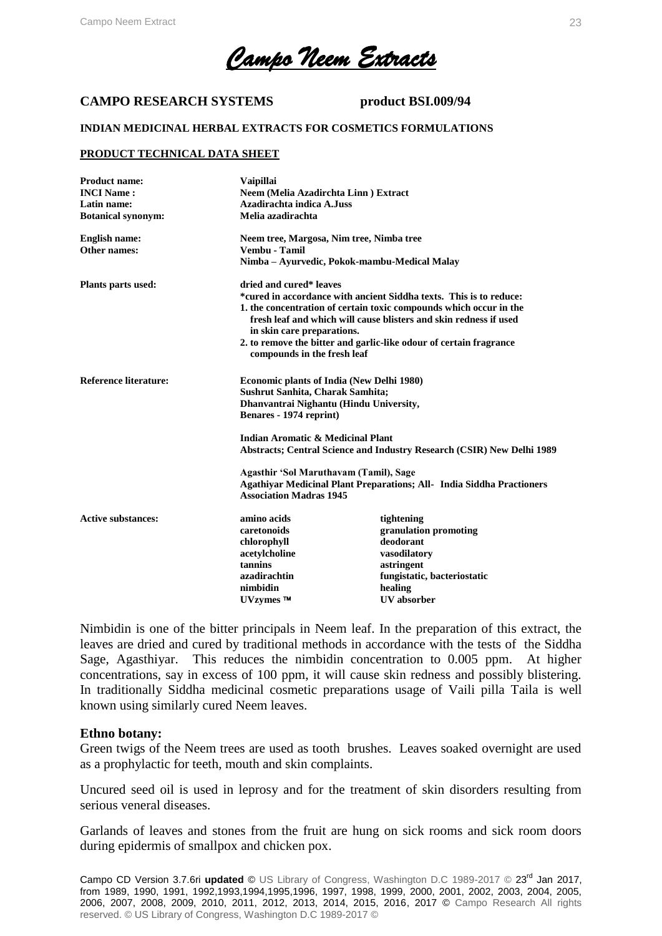*Campo Neem Extracts* 

#### **CAMPO RESEARCH SYSTEMS product BSI.009/94**

#### **INDIAN MEDICINAL HERBAL EXTRACTS FOR COSMETICS FORMULATIONS**

#### **PRODUCT TECHNICAL DATA SHEET**

| <b>Product name:</b>         | <b>Vaipillai</b>                                                                                                                                                      |                                                                    |  |  |
|------------------------------|-----------------------------------------------------------------------------------------------------------------------------------------------------------------------|--------------------------------------------------------------------|--|--|
| <b>INCI Name:</b>            | Neem (Melia Azadirchta Linn) Extract                                                                                                                                  |                                                                    |  |  |
| Latin name:                  |                                                                                                                                                                       | Azadirachta indica A.Juss                                          |  |  |
| <b>Botanical synonym:</b>    |                                                                                                                                                                       | Melia azadirachta                                                  |  |  |
| <b>English name:</b>         |                                                                                                                                                                       | Neem tree, Margosa, Nim tree, Nimba tree                           |  |  |
| Other names:                 | Vembu - Tamil                                                                                                                                                         |                                                                    |  |  |
|                              |                                                                                                                                                                       | Nimba – Ayurvedic, Pokok-mambu-Medical Malay                       |  |  |
| <b>Plants parts used:</b>    | dried and cured* leaves                                                                                                                                               |                                                                    |  |  |
|                              |                                                                                                                                                                       | *cured in accordance with ancient Siddha texts. This is to reduce: |  |  |
|                              | 1. the concentration of certain toxic compounds which occur in the<br>fresh leaf and which will cause blisters and skin redness if used<br>in skin care preparations. |                                                                    |  |  |
|                              | compounds in the fresh leaf                                                                                                                                           | 2. to remove the bitter and garlic-like odour of certain fragrance |  |  |
| <b>Reference literature:</b> | <b>Economic plants of India (New Delhi 1980)</b>                                                                                                                      |                                                                    |  |  |
|                              | Sushrut Sanhita, Charak Samhita;                                                                                                                                      |                                                                    |  |  |
|                              | Dhanvantrai Nighantu (Hindu University,                                                                                                                               |                                                                    |  |  |
|                              | Benares - 1974 reprint)                                                                                                                                               |                                                                    |  |  |
|                              | Indian Aromatic & Medicinal Plant                                                                                                                                     |                                                                    |  |  |
|                              | Abstracts; Central Science and Industry Research (CSIR) New Delhi 1989                                                                                                |                                                                    |  |  |
|                              | Agasthir 'Sol Maruthavam (Tamil), Sage                                                                                                                                |                                                                    |  |  |
|                              | Agathiyar Medicinal Plant Preparations; All- India Siddha Practioners                                                                                                 |                                                                    |  |  |
|                              |                                                                                                                                                                       | <b>Association Madras 1945</b>                                     |  |  |
| <b>Active substances:</b>    | amino acids                                                                                                                                                           | tightening                                                         |  |  |
|                              | caretonoids                                                                                                                                                           | granulation promoting                                              |  |  |
|                              | chlorophyll                                                                                                                                                           | deodorant                                                          |  |  |
|                              | acetylcholine                                                                                                                                                         | vasodilatory                                                       |  |  |
|                              | tannins                                                                                                                                                               | astringent                                                         |  |  |
|                              | azadirachtin                                                                                                                                                          | fungistatic, bacteriostatic                                        |  |  |
|                              | nimbidin                                                                                                                                                              | healing                                                            |  |  |
|                              | $UVz$ vmes $TM$                                                                                                                                                       | <b>UV</b> absorber                                                 |  |  |

Nimbidin is one of the bitter principals in Neem leaf. In the preparation of this extract, the leaves are dried and cured by traditional methods in accordance with the tests of the Siddha Sage, Agasthiyar. This reduces the nimbidin concentration to 0.005 ppm. At higher concentrations, say in excess of 100 ppm, it will cause skin redness and possibly blistering. In traditionally Siddha medicinal cosmetic preparations usage of Vaili pilla Taila is well known using similarly cured Neem leaves.

#### **Ethno botany:**

Green twigs of the Neem trees are used as tooth brushes. Leaves soaked overnight are used as a prophylactic for teeth, mouth and skin complaints.

Uncured seed oil is used in leprosy and for the treatment of skin disorders resulting from serious veneral diseases.

Garlands of leaves and stones from the fruit are hung on sick rooms and sick room doors during epidermis of smallpox and chicken pox.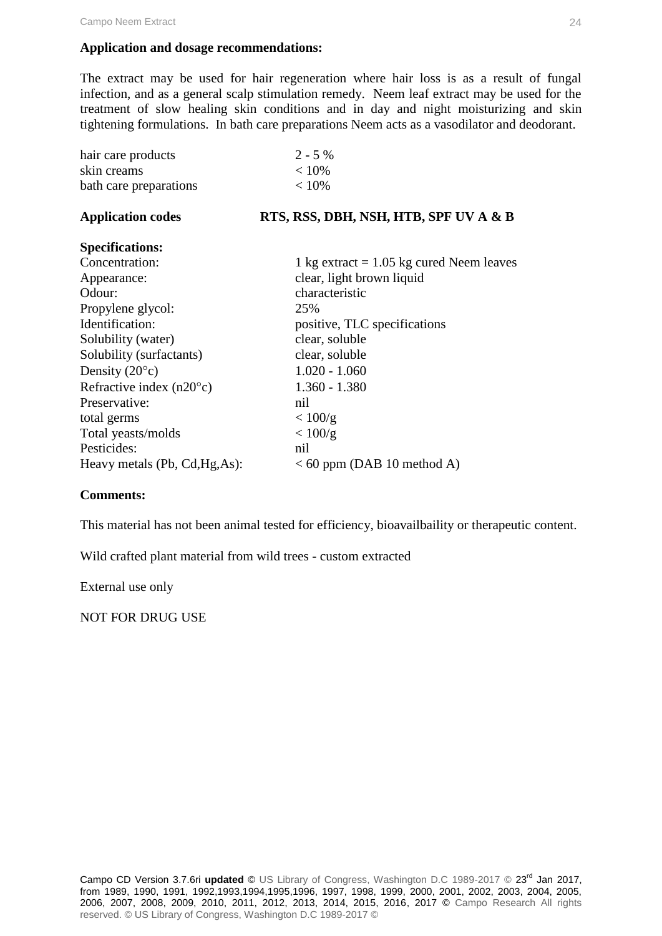#### **Application and dosage recommendations:**

The extract may be used for hair regeneration where hair loss is as a result of fungal infection, and as a general scalp stimulation remedy. Neem leaf extract may be used for the treatment of slow healing skin conditions and in day and night moisturizing and skin tightening formulations. In bath care preparations Neem acts as a vasodilator and deodorant.

| hair care products                | $2 - 5\%$                                  |
|-----------------------------------|--------------------------------------------|
| skin creams                       | < 10%                                      |
| bath care preparations            | < 10%                                      |
| <b>Application codes</b>          | RTS, RSS, DBH, NSH, HTB, SPF UV A & B      |
| <b>Specifications:</b>            |                                            |
| Concentration:                    | 1 kg extract $= 1.05$ kg cured Neem leaves |
| Appearance:                       | clear, light brown liquid                  |
| Odour:                            | characteristic                             |
| Propylene glycol:                 | 25%                                        |
| Identification:                   | positive, TLC specifications               |
| Solubility (water)                | clear, soluble                             |
| Solubility (surfactants)          | clear, soluble                             |
| Density $(20^{\circ}c)$           | $1.020 - 1.060$                            |
| Refractive index $(n20^{\circ}c)$ | $1.360 - 1.380$                            |
| Preservative:                     | nil                                        |
| total germs                       | < 100/g                                    |
| Total yeasts/molds                | < 100/g                                    |
| Pesticides:                       | nil                                        |
| Heavy metals (Pb, Cd, Hg, As):    | $<$ 60 ppm (DAB 10 method A)               |

#### **Comments:**

This material has not been animal tested for efficiency, bioavailbaility or therapeutic content.

Wild crafted plant material from wild trees - custom extracted

External use only

NOT FOR DRUG USE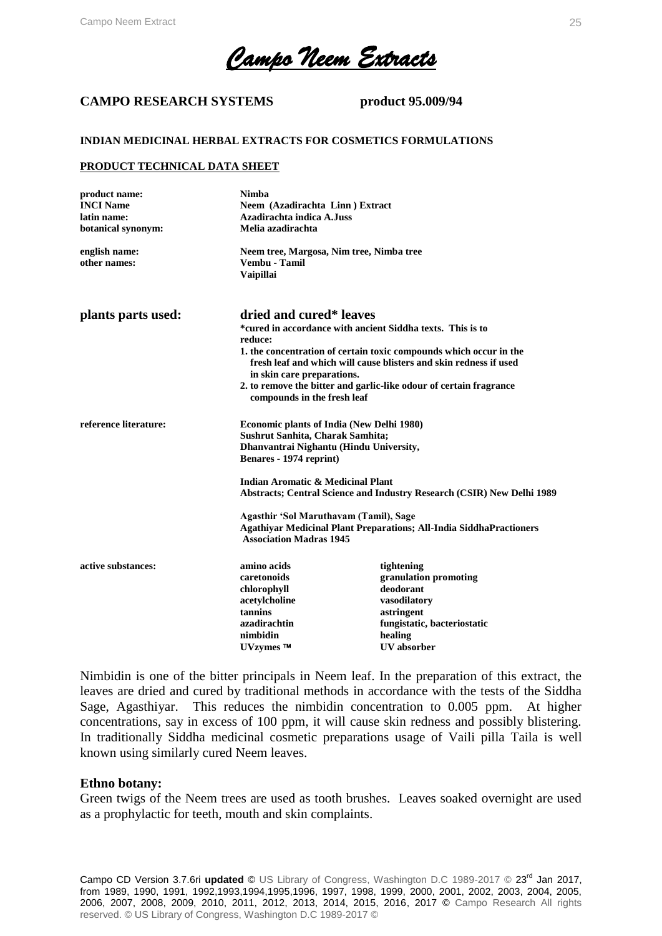*Campo Neem Extracts* 

#### **CAMPO RESEARCH SYSTEMS product 95.009/94**

#### **INDIAN MEDICINAL HERBAL EXTRACTS FOR COSMETICS FORMULATIONS**

#### **PRODUCT TECHNICAL DATA SHEET**

| product name:<br><b>INCI Name</b><br>latin name:<br>botanical synonym:<br>english name:<br>other names: | Nimba<br>Neem (Azadirachta Linn) Extract<br>Azadirachta indica A.Juss<br>Melia azadirachta<br>Neem tree, Margosa, Nim tree, Nimba tree<br>Vembu - Tamil<br><b>Vaipillai</b>                                                                                                                                                                                                    |                                                                                                                                                |
|---------------------------------------------------------------------------------------------------------|--------------------------------------------------------------------------------------------------------------------------------------------------------------------------------------------------------------------------------------------------------------------------------------------------------------------------------------------------------------------------------|------------------------------------------------------------------------------------------------------------------------------------------------|
| plants parts used:                                                                                      | dried and cured* leaves<br>*cured in accordance with ancient Siddha texts. This is to<br>reduce:<br>1. the concentration of certain toxic compounds which occur in the<br>fresh leaf and which will cause blisters and skin redness if used<br>in skin care preparations.<br>2. to remove the bitter and garlic-like odour of certain fragrance<br>compounds in the fresh leaf |                                                                                                                                                |
| reference literature:                                                                                   | <b>Economic plants of India (New Delhi 1980)</b><br>Sushrut Sanhita, Charak Samhita;<br>Dhanvantrai Nighantu (Hindu University,<br>Benares - 1974 reprint)<br><b>Indian Aromatic &amp; Medicinal Plant</b><br>Abstracts; Central Science and Industry Research (CSIR) New Delhi 1989<br>Agasthir 'Sol Maruthavam (Tamil), Sage                                                 |                                                                                                                                                |
|                                                                                                         | <b>Agathiyar Medicinal Plant Preparations; All-India SiddhaPractioners</b><br><b>Association Madras 1945</b>                                                                                                                                                                                                                                                                   |                                                                                                                                                |
| active substances:                                                                                      | amino acids<br>caretonoids<br>chlorophyll<br>acetylcholine<br>tannins<br>azadirachtin<br>nimbidin<br>UVzymes <sup>™</sup>                                                                                                                                                                                                                                                      | tightening<br>granulation promoting<br>deodorant<br>vasodilatory<br>astringent<br>fungistatic, bacteriostatic<br>healing<br><b>UV</b> absorber |

Nimbidin is one of the bitter principals in Neem leaf. In the preparation of this extract, the leaves are dried and cured by traditional methods in accordance with the tests of the Siddha Sage, Agasthiyar. This reduces the nimbidin concentration to 0.005 ppm. At higher concentrations, say in excess of 100 ppm, it will cause skin redness and possibly blistering. In traditionally Siddha medicinal cosmetic preparations usage of Vaili pilla Taila is well known using similarly cured Neem leaves.

#### **Ethno botany:**

Green twigs of the Neem trees are used as tooth brushes. Leaves soaked overnight are used as a prophylactic for teeth, mouth and skin complaints.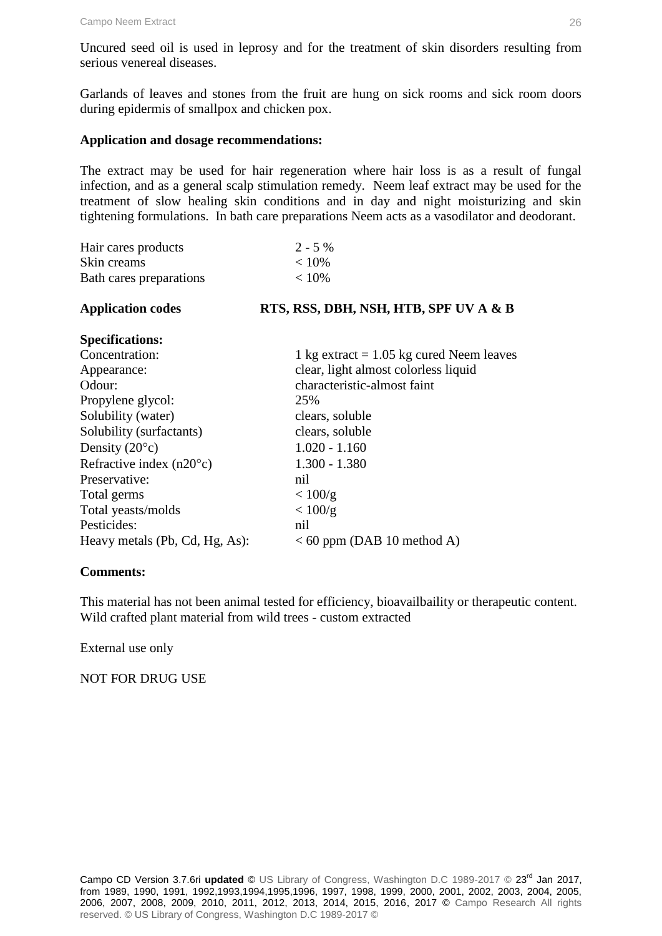Uncured seed oil is used in leprosy and for the treatment of skin disorders resulting from serious venereal diseases.

Garlands of leaves and stones from the fruit are hung on sick rooms and sick room doors during epidermis of smallpox and chicken pox.

#### **Application and dosage recommendations:**

The extract may be used for hair regeneration where hair loss is as a result of fungal infection, and as a general scalp stimulation remedy. Neem leaf extract may be used for the treatment of slow healing skin conditions and in day and night moisturizing and skin tightening formulations. In bath care preparations Neem acts as a vasodilator and deodorant.

| Hair cares products               | $2 - 5\%$                                  |
|-----------------------------------|--------------------------------------------|
| Skin creams                       | < 10%                                      |
| < 10%<br>Bath cares preparations  |                                            |
| <b>Application codes</b>          | RTS, RSS, DBH, NSH, HTB, SPF UV A & B      |
| <b>Specifications:</b>            |                                            |
| Concentration:                    | 1 kg extract $= 1.05$ kg cured Neem leaves |
| Appearance:                       | clear, light almost colorless liquid       |
| Odour:                            | characteristic-almost faint                |
| Propylene glycol:                 | 25%                                        |
| Solubility (water)                | clears, soluble                            |
| Solubility (surfactants)          | clears, soluble                            |
| Density $(20^{\circ}c)$           | $1.020 - 1.160$                            |
| Refractive index $(n20^{\circ}c)$ | $1.300 - 1.380$                            |
| Preservative:                     | nil                                        |
| Total germs                       | < 100/g                                    |
| Total yeasts/molds                | < 100/g                                    |

Heavy metals (Pb, Cd, Hg, As):  $<$  60 ppm (DAB 10 method A)

#### **Comments:**

This material has not been animal tested for efficiency, bioavailbaility or therapeutic content. Wild crafted plant material from wild trees - custom extracted

External use only

NOT FOR DRUG USE

Pesticides: nil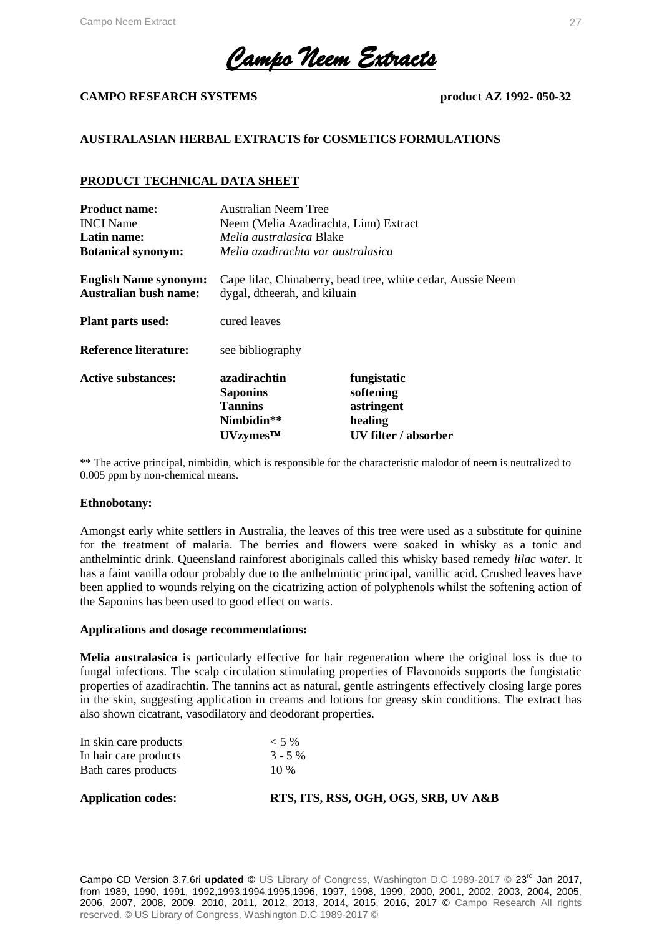*Campo Neem Extracts* 

#### **CAMPO RESEARCH SYSTEMS product AZ 1992- 050-32**

#### **AUSTRALASIAN HERBAL EXTRACTS for COSMETICS FORMULATIONS**

#### **PRODUCT TECHNICAL DATA SHEET**

| <b>Product name:</b>                                         | Australian Neem Tree                                                                        |                                                                           |  |
|--------------------------------------------------------------|---------------------------------------------------------------------------------------------|---------------------------------------------------------------------------|--|
| <b>INCI</b> Name                                             | Neem (Melia Azadirachta, Linn) Extract                                                      |                                                                           |  |
| Latin name:                                                  | <i>Melia australasica</i> Blake                                                             |                                                                           |  |
| <b>Botanical synonym:</b>                                    | Melia azadirachta var australasica                                                          |                                                                           |  |
| <b>English Name synonym:</b><br><b>Australian bush name:</b> | Cape Iilac, Chinaberry, bead tree, white cedar, Aussie Neem<br>dygal, dtheerah, and kiluain |                                                                           |  |
| <b>Plant parts used:</b>                                     | cured leaves                                                                                |                                                                           |  |
| Reference literature:                                        | see bibliography                                                                            |                                                                           |  |
| <b>Active substances:</b>                                    | azadirachtin<br><b>Saponins</b><br><b>Tannins</b><br>Nimbidin**<br>UVzymes™                 | fungistatic<br>softening<br>astringent<br>healing<br>UV filter / absorber |  |

\*\* The active principal, nimbidin, which is responsible for the characteristic malodor of neem is neutralized to 0.005 ppm by non-chemical means.

#### **Ethnobotany:**

Amongst early white settlers in Australia, the leaves of this tree were used as a substitute for quinine for the treatment of malaria. The berries and flowers were soaked in whisky as a tonic and anthelmintic drink. Queensland rainforest aboriginals called this whisky based remedy *lilac water*. It has a faint vanilla odour probably due to the anthelmintic principal, vanillic acid. Crushed leaves have been applied to wounds relying on the cicatrizing action of polyphenols whilst the softening action of the Saponins has been used to good effect on warts.

#### **Applications and dosage recommendations:**

**Melia australasica** is particularly effective for hair regeneration where the original loss is due to fungal infections. The scalp circulation stimulating properties of Flavonoids supports the fungistatic properties of azadirachtin. The tannins act as natural, gentle astringents effectively closing large pores in the skin, suggesting application in creams and lotions for greasy skin conditions. The extract has also shown cicatrant, vasodilatory and deodorant properties.

| <b>Application codes:</b> | RTS, ITS, RSS, OGH, OGS, SRB, UV A&B |
|---------------------------|--------------------------------------|
| Bath cares products       | 10 %                                 |
| In hair care products     | $3 - 5\%$                            |
| In skin care products     | $<$ 5 %                              |

Campo CD Version 3.7.6ri updated © US Library of Congress, Washington D.C 1989-2017 © 23<sup>rd</sup> Jan 2017, from 1989, 1990, 1991, 1992,1993,1994,1995,1996, 1997, 1998, 1999, 2000, 2001, 2002, 2003, 2004, 2005, 2006, 2007, 2008, 2009, 2010, 2011, 2012, 2013, 2014, 2015, 2016, 2017 © Campo Research All rights reserved. © US Library of Congress, Washington D.C 1989-2017 ©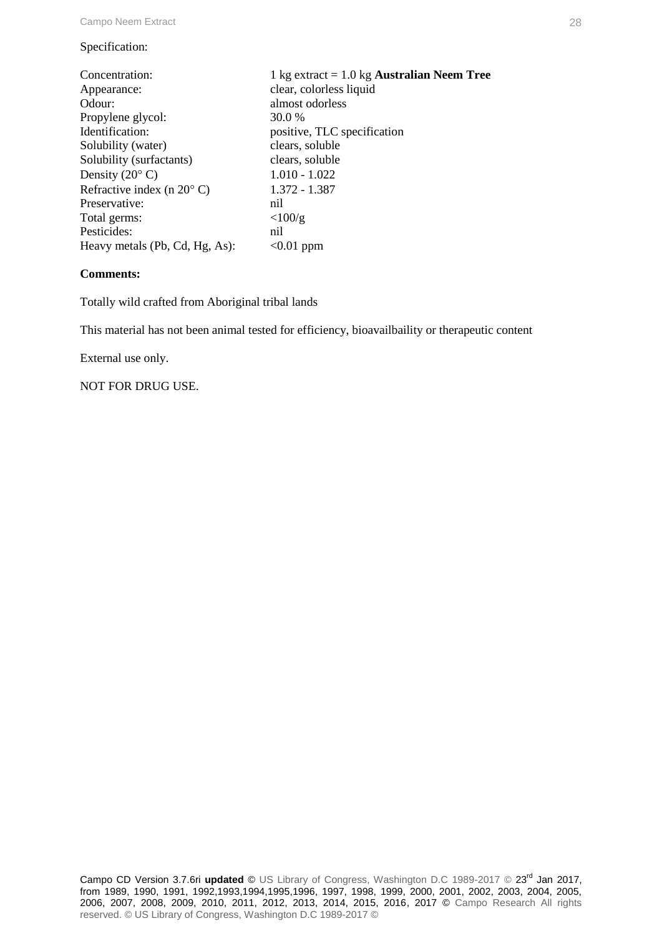#### Specification:

| Concentration:                      | 1 kg extract $= 1.0$ kg <b>Australian Neem Tree</b> |
|-------------------------------------|-----------------------------------------------------|
| Appearance:                         | clear, colorless liquid                             |
| Odour:                              | almost odorless                                     |
| Propylene glycol:                   | 30.0 %                                              |
| Identification:                     | positive, TLC specification                         |
| Solubility (water)                  | clears, soluble                                     |
| Solubility (surfactants)            | clears, soluble                                     |
| Density $(20^{\circ} \text{ C})$    | $1.010 - 1.022$                                     |
| Refractive index (n $20^{\circ}$ C) | 1.372 - 1.387                                       |
| Preservative:                       | nil                                                 |
| Total germs:                        | $\langle 100/g$                                     |
| Pesticides:                         | nil                                                 |
| Heavy metals (Pb, Cd, Hg, As):      | $< 0.01$ ppm                                        |

#### **Comments:**

Totally wild crafted from Aboriginal tribal lands

This material has not been animal tested for efficiency, bioavailbaility or therapeutic content

External use only.

NOT FOR DRUG USE.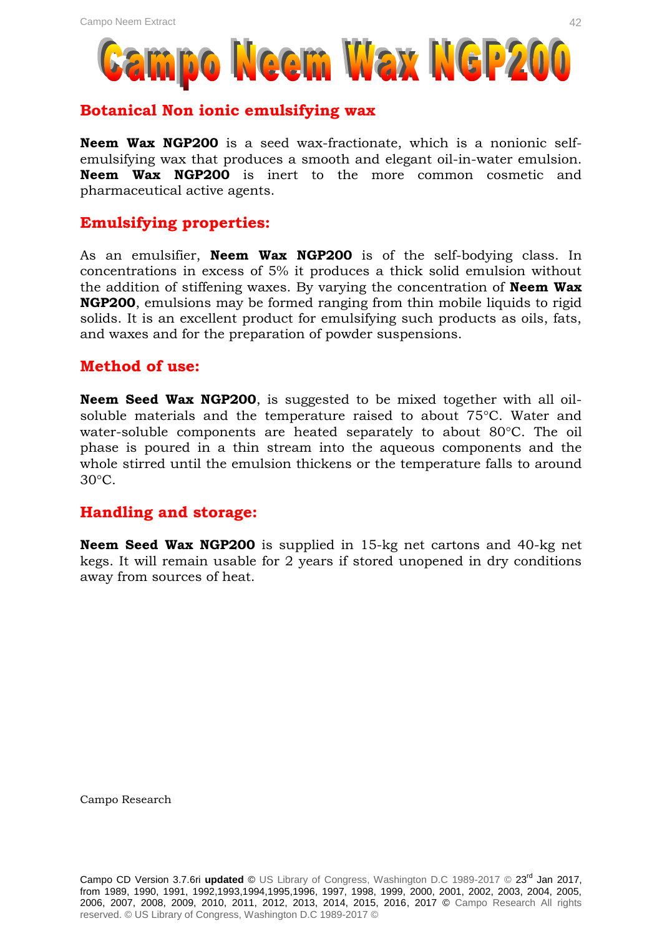

### **Botanical Non ionic emulsifying wax**

**Neem Wax NGP200** is a seed wax-fractionate, which is a nonionic selfemulsifying wax that produces a smooth and elegant oil-in-water emulsion. **Neem Wax NGP200** is inert to the more common cosmetic and pharmaceutical active agents.

### **Emulsifying properties:**

As an emulsifier, **Neem Wax NGP200** is of the self-bodying class. In concentrations in excess of 5% it produces a thick solid emulsion without the addition of stiffening waxes. By varying the concentration of **Neem Wax NGP200**, emulsions may be formed ranging from thin mobile liquids to rigid solids. It is an excellent product for emulsifying such products as oils, fats, and waxes and for the preparation of powder suspensions.

### **Method of use:**

**Neem Seed Wax NGP200**, is suggested to be mixed together with all oilsoluble materials and the temperature raised to about  $75^{\circ}$ C. Water and water-soluble components are heated separately to about 80°C. The oil phase is poured in a thin stream into the aqueous components and the whole stirred until the emulsion thickens or the temperature falls to around  $30^{\circ}$ C.

### **Handling and storage:**

**Neem Seed Wax NGP200** is supplied in 15-kg net cartons and 40-kg net kegs. It will remain usable for 2 years if stored unopened in dry conditions away from sources of heat.

Campo Research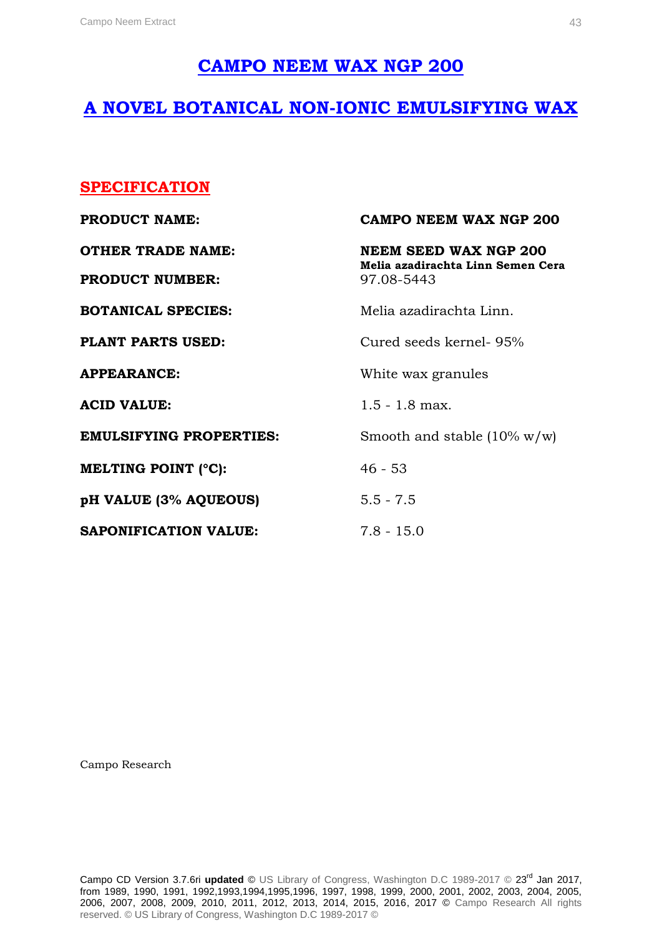### **CAMPO NEEM WAX NGP 200**

### **A NOVEL BOTANICAL NON-IONIC EMULSIFYING WAX**

### **SPECIFICATION**

| <b>PRODUCT NAME:</b>           | CAMPO NEEM WAX NGP 200                                            |  |
|--------------------------------|-------------------------------------------------------------------|--|
| <b>OTHER TRADE NAME:</b>       | <b>NEEM SEED WAX NGP 200</b><br>Melia azadirachta Linn Semen Cera |  |
| <b>PRODUCT NUMBER:</b>         | 97.08-5443                                                        |  |
| <b>BOTANICAL SPECIES:</b>      | Melia azadirachta Linn.                                           |  |
| <b>PLANT PARTS USED:</b>       | Cured seeds kernel- 95%                                           |  |
| <b>APPEARANCE:</b>             | White wax granules                                                |  |
| <b>ACID VALUE:</b>             | $1.5 - 1.8$ max.                                                  |  |
| <b>EMULSIFYING PROPERTIES:</b> | Smooth and stable $(10\% \text{ w/w})$                            |  |
| <b>MELTING POINT (°C):</b>     | $46 - 53$                                                         |  |
| pH VALUE (3% AQUEOUS)          | $5.5 - 7.5$                                                       |  |
| <b>SAPONIFICATION VALUE:</b>   | $7.8 - 15.0$                                                      |  |

Campo Research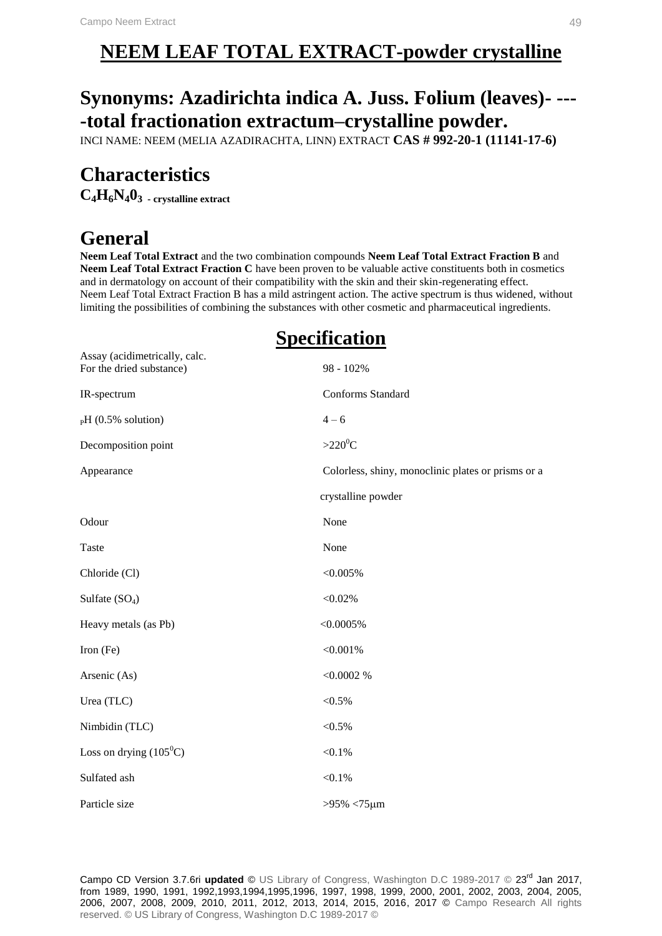# **NEEM LEAF TOTAL EXTRACT-powder crystalline**

# **Synonyms: Azadirichta indica A. Juss. Folium (leaves)- --- -total fractionation extractum–crystalline powder.**

INCI NAME: NEEM (MELIA AZADIRACHTA, LINN) EXTRACT **CAS # 992-20-1 (11141-17-6)**

# **Characteristics**

Assay (acidimetrically, calc.

**C4H6N403 - crystalline extract**

# **General**

**Neem Leaf Total Extract** and the two combination compounds **Neem Leaf Total Extract Fraction B** and **Neem Leaf Total Extract Fraction C** have been proven to be valuable active constituents both in cosmetics and in dermatology on account of their compatibility with the skin and their skin-regenerating effect. Neem Leaf Total Extract Fraction B has a mild astringent action. The active spectrum is thus widened, without limiting the possibilities of combining the substances with other cosmetic and pharmaceutical ingredients.

# **Specification**

| <i>l</i> issu y (aciumnetricam y, calc.<br>For the dried substance) | 98 - 102%                                          |  |
|---------------------------------------------------------------------|----------------------------------------------------|--|
| IR-spectrum                                                         | Conforms Standard                                  |  |
| $_{\rm P}H$ (0.5% solution)                                         | $4 - 6$                                            |  |
| Decomposition point                                                 | $>220^0C$                                          |  |
| Appearance                                                          | Colorless, shiny, monoclinic plates or prisms or a |  |
|                                                                     | crystalline powder                                 |  |
| Odour                                                               | None                                               |  |
| Taste                                                               | None                                               |  |
| Chloride (Cl)                                                       | $< 0.005\%$                                        |  |
| Sulfate $(SO4)$                                                     | $< 0.02\%$                                         |  |
| Heavy metals (as Pb)                                                | $< 0.0005\%$                                       |  |
| Iron (Fe)                                                           | < 0.001%                                           |  |
| Arsenic (As)                                                        | < 0.0002 %                                         |  |
| Urea (TLC)                                                          | ${<}0.5\%$                                         |  |
| Nimbidin (TLC)                                                      | $< 0.5\%$                                          |  |
| Loss on drying $(105^0C)$                                           | $< 0.1\%$                                          |  |
| Sulfated ash                                                        | $< 0.1\%$                                          |  |
| Particle size                                                       | $>95\% < 75 \,\mu m$                               |  |

Campo CD Version 3.7.6ri **updated** © US Library of Congress, Washington D.C 1989-2017 © 23rd Jan 2017, from 1989, 1990, 1991, 1992,1993,1994,1995,1996, 1997, 1998, 1999, 2000, 2001, 2002, 2003, 2004, 2005, 2006, 2007, 2008, 2009, 2010, 2011, 2012, 2013, 2014, 2015, 2016, 2017 © Campo Research All rights reserved. © US Library of Congress, Washington D.C 1989-2017 ©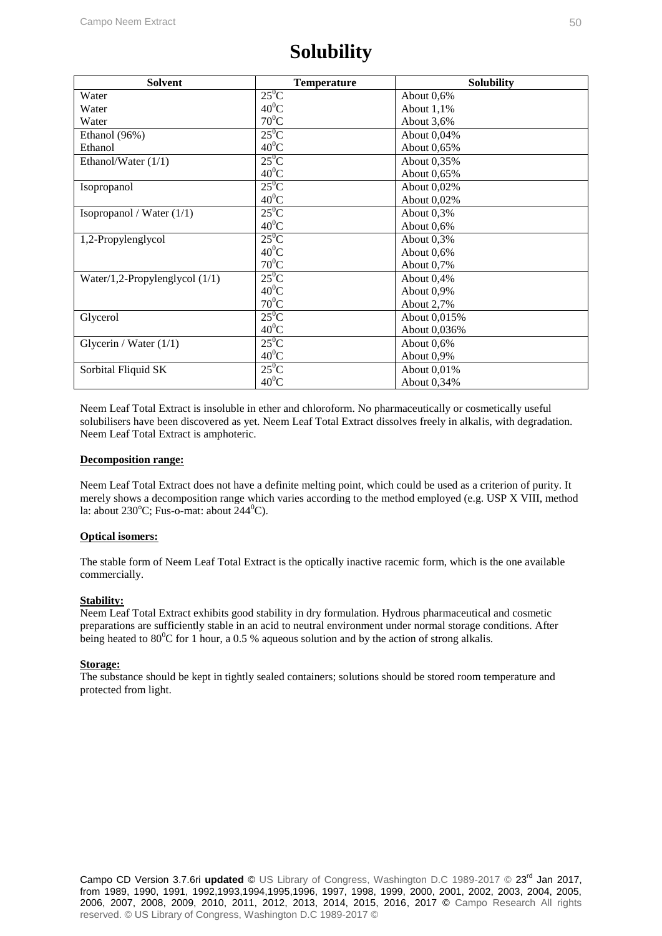# **Solubility**

| <b>Solvent</b>                   | <b>Temperature</b> | <b>Solubility</b> |
|----------------------------------|--------------------|-------------------|
| Water                            | $25^0C$            | About 0,6%        |
| Water                            | $40^0C$            | About $1,1\%$     |
| Water                            | $70^0C$            | About 3,6%        |
| Ethanol (96%)                    | $25^0$ C           | About 0,04%       |
| Ethanol                          | $40^0C$            | About 0,65%       |
| Ethanol/Water $(1/1)$            | $25^0C$            | About 0,35%       |
|                                  | $40^0C$            | About 0,65%       |
| Isopropanol                      | $25^0C$            | About 0,02%       |
|                                  | $40^0C$            | About 0,02%       |
| Isopropanol / Water $(1/1)$      | $25^0C$            | About $0,3%$      |
|                                  | $40^0C$            | About 0,6%        |
| 1,2-Propylenglycol               | $25^0$ C           | About 0,3%        |
|                                  | $40^0C$            | About 0,6%        |
|                                  | $70^0C$            | About $0.7\%$     |
| Water/1,2-Propylenglycol $(1/1)$ | $25^0C$            | About $0,4%$      |
|                                  | $40^0C$            | About 0,9%        |
|                                  | $70^0C$            | About 2,7%        |
| Glycerol                         | $25^0C$            | About 0,015%      |
|                                  | $40^0C$            | About 0,036%      |
| Glycerin / Water $(1/1)$         | $25^0C$            | About 0,6%        |
|                                  | $40^0$ C           | About 0,9%        |
| Sorbital Fliquid SK              | $25^0C$            | About 0,01%       |
|                                  | $40^0C$            | About 0,34%       |

Neem Leaf Total Extract is insoluble in ether and chloroform. No pharmaceutically or cosmetically useful solubilisers have been discovered as yet. Neem Leaf Total Extract dissolves freely in alkalis, with degradation. Neem Leaf Total Extract is amphoteric.

#### **Decomposition range:**

Neem Leaf Total Extract does not have a definite melting point, which could be used as a criterion of purity. It merely shows a decomposition range which varies according to the method employed (e.g. USP X VIII, method la: about 230 $^{\circ}$ C; Fus-o-mat: about 244 $^{\circ}$ C).

#### **Optical isomers:**

The stable form of Neem Leaf Total Extract is the optically inactive racemic form, which is the one available commercially.

#### **Stability:**

Neem Leaf Total Extract exhibits good stability in dry formulation. Hydrous pharmaceutical and cosmetic preparations are sufficiently stable in an acid to neutral environment under normal storage conditions. After being heated to  $80^{\circ}$ C for 1 hour, a 0.5 % aqueous solution and by the action of strong alkalis.

#### **Storage:**

The substance should be kept in tightly sealed containers; solutions should be stored room temperature and protected from light.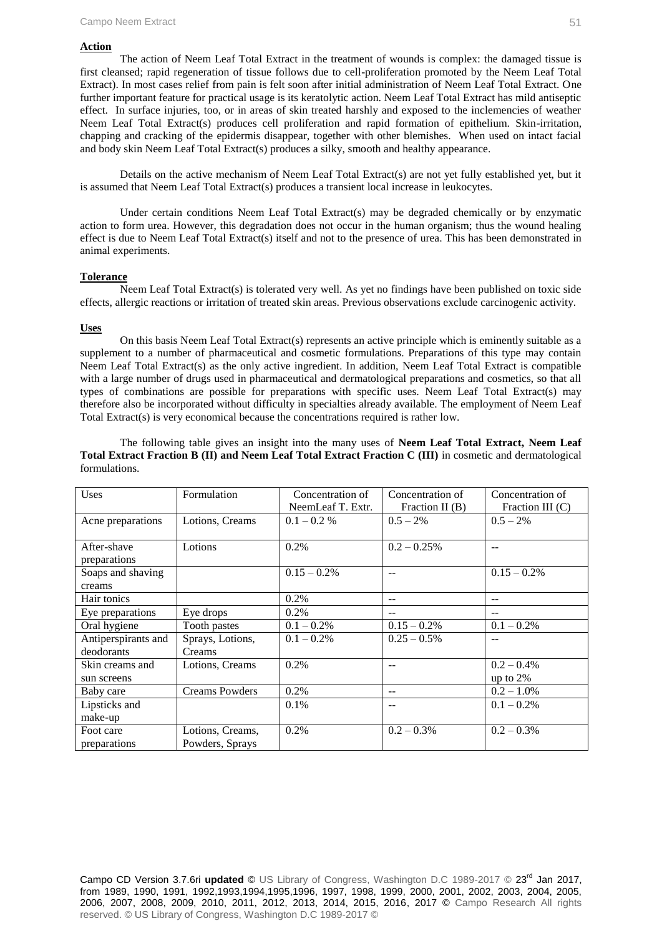#### **Action**

The action of Neem Leaf Total Extract in the treatment of wounds is complex: the damaged tissue is first cleansed; rapid regeneration of tissue follows due to cell-proliferation promoted by the Neem Leaf Total Extract). In most cases relief from pain is felt soon after initial administration of Neem Leaf Total Extract. One further important feature for practical usage is its keratolytic action. Neem Leaf Total Extract has mild antiseptic effect. In surface injuries, too, or in areas of skin treated harshly and exposed to the inclemencies of weather Neem Leaf Total Extract(s) produces cell proliferation and rapid formation of epithelium. Skin-irritation, chapping and cracking of the epidermis disappear, together with other blemishes. When used on intact facial and body skin Neem Leaf Total Extract(s) produces a silky, smooth and healthy appearance.

Details on the active mechanism of Neem Leaf Total Extract(s) are not yet fully established yet, but it is assumed that Neem Leaf Total Extract(s) produces a transient local increase in leukocytes.

Under certain conditions Neem Leaf Total Extract(s) may be degraded chemically or by enzymatic action to form urea. However, this degradation does not occur in the human organism; thus the wound healing effect is due to Neem Leaf Total Extract(s) itself and not to the presence of urea. This has been demonstrated in animal experiments.

#### **Tolerance**

Neem Leaf Total Extract(s) is tolerated very well. As yet no findings have been published on toxic side effects, allergic reactions or irritation of treated skin areas. Previous observations exclude carcinogenic activity.

#### **Uses**

On this basis Neem Leaf Total Extract(s) represents an active principle which is eminently suitable as a supplement to a number of pharmaceutical and cosmetic formulations. Preparations of this type may contain Neem Leaf Total Extract(s) as the only active ingredient. In addition, Neem Leaf Total Extract is compatible with a large number of drugs used in pharmaceutical and dermatological preparations and cosmetics, so that all types of combinations are possible for preparations with specific uses. Neem Leaf Total Extract(s) may therefore also be incorporated without difficulty in specialties already available. The employment of Neem Leaf Total Extract(s) is very economical because the concentrations required is rather low.

The following table gives an insight into the many uses of **Neem Leaf Total Extract, Neem Leaf Total Extract Fraction B (II) and Neem Leaf Total Extract Fraction C (III)** in cosmetic and dermatological formulations.

| Uses                | Formulation           | Concentration of  | Concentration of  | Concentration of   |
|---------------------|-----------------------|-------------------|-------------------|--------------------|
|                     |                       | NeemLeaf T. Extr. | Fraction II $(B)$ | Fraction III $(C)$ |
| Acne preparations   | Lotions, Creams       | $0.1 - 0.2 %$     | $0.5 - 2\%$       | $0.5 - 2\%$        |
|                     |                       |                   |                   |                    |
| After-shave         | Lotions               | 0.2%              | $0.2 - 0.25\%$    | $-1$               |
| preparations        |                       |                   |                   |                    |
| Soaps and shaving   |                       | $0.15 - 0.2\%$    | $- -$             | $0.15 - 0.2\%$     |
| creams              |                       |                   |                   |                    |
| Hair tonics         |                       | 0.2%              | --                | --                 |
| Eye preparations    | Eye drops             | $0.2\%$           | $-1$              |                    |
| Oral hygiene        | Tooth pastes          | $0.1 - 0.2\%$     | $0.15 - 0.2\%$    | $0.1 - 0.2\%$      |
| Antiperspirants and | Sprays, Lotions,      | $0.1 - 0.2\%$     | $0.25 - 0.5\%$    | --                 |
| deodorants          | Creams                |                   |                   |                    |
| Skin creams and     | Lotions, Creams       | 0.2%              | --                | $0.2 - 0.4\%$      |
| sun screens         |                       |                   |                   | up to $2\%$        |
| Baby care           | <b>Creams Powders</b> | 0.2%              | --                | $0.2 - 1.0\%$      |
| Lipsticks and       |                       | 0.1%              | --                | $0.1 - 0.2\%$      |
| make-up             |                       |                   |                   |                    |
| Foot care           | Lotions, Creams,      | 0.2%              | $0.2 - 0.3\%$     | $0.2 - 0.3\%$      |
| preparations        | Powders, Sprays       |                   |                   |                    |

Campo CD Version 3.7.6ri **updated** © US Library of Congress, Washington D.C 1989-2017 © 23rd Jan 2017, from 1989, 1990, 1991, 1992,1993,1994,1995,1996, 1997, 1998, 1999, 2000, 2001, 2002, 2003, 2004, 2005, 2006, 2007, 2008, 2009, 2010, 2011, 2012, 2013, 2014, 2015, 2016, 2017 © Campo Research All rights reserved. © US Library of Congress, Washington D.C 1989-2017 ©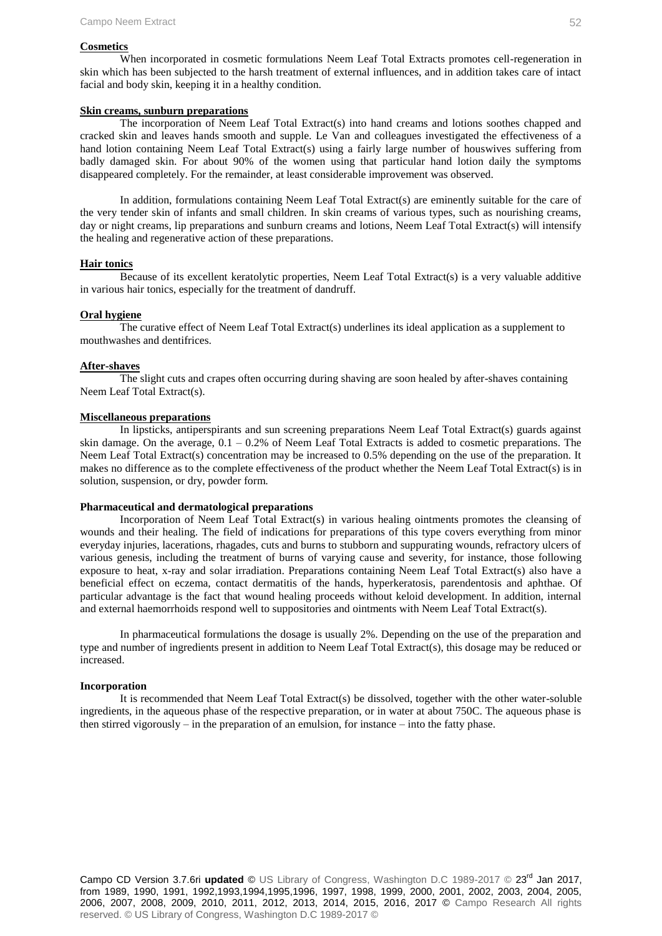#### **Cosmetics**

When incorporated in cosmetic formulations Neem Leaf Total Extracts promotes cell-regeneration in skin which has been subjected to the harsh treatment of external influences, and in addition takes care of intact facial and body skin, keeping it in a healthy condition.

#### **Skin creams, sunburn preparations**

The incorporation of Neem Leaf Total Extract(s) into hand creams and lotions soothes chapped and cracked skin and leaves hands smooth and supple. Le Van and colleagues investigated the effectiveness of a hand lotion containing Neem Leaf Total Extract(s) using a fairly large number of houswives suffering from badly damaged skin. For about 90% of the women using that particular hand lotion daily the symptoms disappeared completely. For the remainder, at least considerable improvement was observed.

In addition, formulations containing Neem Leaf Total Extract(s) are eminently suitable for the care of the very tender skin of infants and small children. In skin creams of various types, such as nourishing creams, day or night creams, lip preparations and sunburn creams and lotions, Neem Leaf Total Extract(s) will intensify the healing and regenerative action of these preparations.

#### **Hair tonics**

Because of its excellent keratolytic properties, Neem Leaf Total Extract(s) is a very valuable additive in various hair tonics, especially for the treatment of dandruff.

#### **Oral hygiene**

The curative effect of Neem Leaf Total Extract(s) underlines its ideal application as a supplement to mouthwashes and dentifrices.

#### **After-shaves**

The slight cuts and crapes often occurring during shaving are soon healed by after-shaves containing Neem Leaf Total Extract(s).

#### **Miscellaneous preparations**

In lipsticks, antiperspirants and sun screening preparations Neem Leaf Total Extract(s) guards against skin damage. On the average,  $0.1 - 0.2\%$  of Neem Leaf Total Extracts is added to cosmetic preparations. The Neem Leaf Total Extract(s) concentration may be increased to 0.5% depending on the use of the preparation. It makes no difference as to the complete effectiveness of the product whether the Neem Leaf Total Extract(s) is in solution, suspension, or dry, powder form.

#### **Pharmaceutical and dermatological preparations**

Incorporation of Neem Leaf Total Extract(s) in various healing ointments promotes the cleansing of wounds and their healing. The field of indications for preparations of this type covers everything from minor everyday injuries, lacerations, rhagades, cuts and burns to stubborn and suppurating wounds, refractory ulcers of various genesis, including the treatment of burns of varying cause and severity, for instance, those following exposure to heat, x-ray and solar irradiation. Preparations containing Neem Leaf Total Extract(s) also have a beneficial effect on eczema, contact dermatitis of the hands, hyperkeratosis, parendentosis and aphthae. Of particular advantage is the fact that wound healing proceeds without keloid development. In addition, internal and external haemorrhoids respond well to suppositories and ointments with Neem Leaf Total Extract(s).

In pharmaceutical formulations the dosage is usually 2%. Depending on the use of the preparation and type and number of ingredients present in addition to Neem Leaf Total Extract(s), this dosage may be reduced or increased.

#### **Incorporation**

It is recommended that Neem Leaf Total Extract(s) be dissolved, together with the other water-soluble ingredients, in the aqueous phase of the respective preparation, or in water at about 750C. The aqueous phase is then stirred vigorously – in the preparation of an emulsion, for instance – into the fatty phase.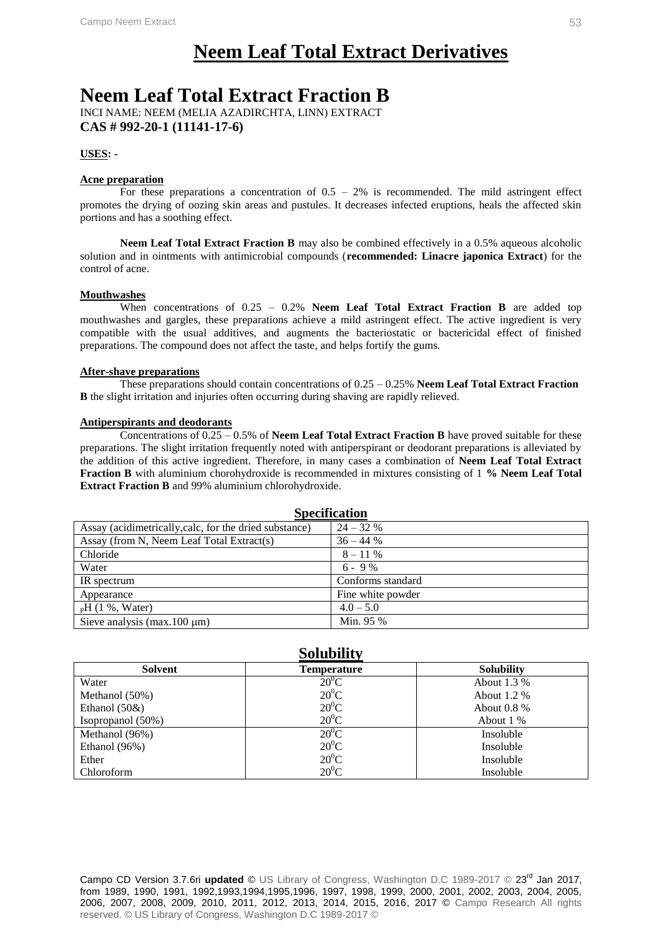# **Neem Leaf Total Extract Derivatives**

# **Neem Leaf Total Extract Fraction B**

INCI NAME: NEEM (MELIA AZADIRCHTA, LINN) EXTRACT **CAS # 992-20-1 (11141-17-6)**

#### **USES: -**

#### **Acne preparation**

For these preparations a concentration of  $0.5 - 2\%$  is recommended. The mild astringent effect promotes the drying of oozing skin areas and pustules. It decreases infected eruptions, heals the affected skin portions and has a soothing effect.

**Neem Leaf Total Extract Fraction B** may also be combined effectively in a 0.5% aqueous alcoholic solution and in ointments with antimicrobial compounds (**recommended: Linacre japonica Extract**) for the control of acne.

#### **Mouthwashes**

When concentrations of  $0.25 - 0.2\%$  **Neem Leaf Total Extract Fraction B** are added top mouthwashes and gargles, these preparations achieve a mild astringent effect. The active ingredient is very compatible with the usual additives, and augments the bacteriostatic or bactericidal effect of finished preparations. The compound does not affect the taste, and helps fortify the gums.

#### **After-shave preparations**

These preparations should contain concentrations of 0.25 – 0.25% **Neem Leaf Total Extract Fraction B** the slight irritation and injuries often occurring during shaving are rapidly relieved.

#### **Antiperspirants and deodorants**

Concentrations of 0.25 – 0.5% of **Neem Leaf Total Extract Fraction B** have proved suitable for these preparations. The slight irritation frequently noted with antiperspirant or deodorant preparations is alleviated by the addition of this active ingredient. Therefore, in many cases a combination of **Neem Leaf Total Extract Fraction B** with aluminium chorohydroxide is recommended in mixtures consisting of 1 **% Neem Leaf Total Extract Fraction B** and 99% aluminium chlorohydroxide.

| <b>Specification</b>                                   |                   |  |
|--------------------------------------------------------|-------------------|--|
| Assay (acidimetrically, calc, for the dried substance) | $24 - 32%$        |  |
| Assay (from N, Neem Leaf Total Extract(s)              | $36 - 44%$        |  |
| Chloride                                               | $8 - 11\%$        |  |
| Water                                                  | $6 - 9\%$         |  |
| IR spectrum                                            | Conforms standard |  |
| Appearance                                             | Fine white powder |  |
| $pH(1\%, Water)$                                       | $4.0 - 5.0$       |  |
| Sieve analysis ( $max.100 \mu m$ )                     | Min. 95 %         |  |

#### **Solubility Solvent Temperature Solubility** Water Methanol (50%) Ethanol (50&) Isopropanol (50%)  $20^0C$  $20^0C$  $20^0C$  $20^0C$ About 1.3 % About 1.2 % About 0.8 % About 1 % Methanol (96%) Ethanol (96%) Ether Chloroform  $20^0C$  $20^0C$  $20^0C$  $20^0C$ Insoluble Insoluble Insoluble Insoluble

Campo CD Version 3.7.6ri **updated** © US Library of Congress, Washington D.C 1989-2017 © 23rd Jan 2017, from 1989, 1990, 1991, 1992,1993,1994,1995,1996, 1997, 1998, 1999, 2000, 2001, 2002, 2003, 2004, 2005, 2006, 2007, 2008, 2009, 2010, 2011, 2012, 2013, 2014, 2015, 2016, 2017 © Campo Research All rights reserved. © US Library of Congress, Washington D.C 1989-2017 ©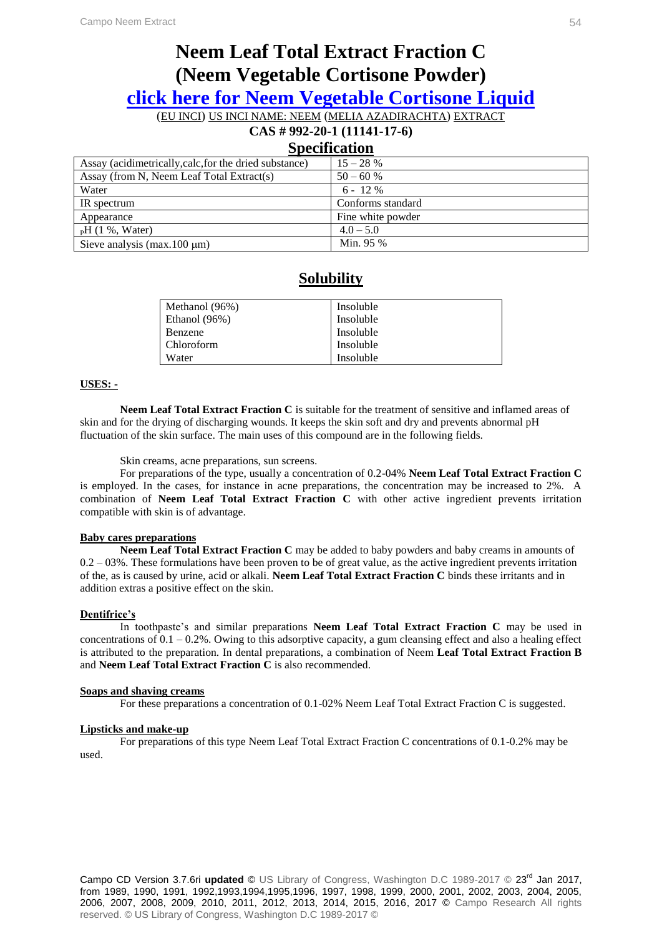# **Neem Leaf Total Extract Fraction C (Neem Vegetable Cortisone Powder)**

**click here for Neem Vegetable Cortisone Liquid**

(EU INCI) US INCI NAME: NEEM (MELIA AZADIRACHTA) EXTRACT

# **CAS # 992-20-1 (11141-17-6)**

### **Specification**

| Assay (acidimetrically, calc, for the dried substance) | $15 - 28%$        |
|--------------------------------------------------------|-------------------|
| Assay (from N, Neem Leaf Total Extract(s)              | $50 - 60 %$       |
| Water                                                  | $6 - 12\%$        |
| IR spectrum                                            | Conforms standard |
| Appearance                                             | Fine white powder |
| $pH(1\%, Water)$                                       | $4.0 - 5.0$       |
| Sieve analysis (max. 100 $\mu$ m)                      | Min. 95 %         |

### **Solubility**

| Methanol (96%) | Insoluble |
|----------------|-----------|
| Ethanol (96%)  | Insoluble |
| Benzene        | Insoluble |
| Chloroform     | Insoluble |
| Water          | Insoluble |

#### **USES: -**

**Neem Leaf Total Extract Fraction C** is suitable for the treatment of sensitive and inflamed areas of skin and for the drying of discharging wounds. It keeps the skin soft and dry and prevents abnormal pH fluctuation of the skin surface. The main uses of this compound are in the following fields.

Skin creams, acne preparations, sun screens.

For preparations of the type, usually a concentration of 0.2-04% **Neem Leaf Total Extract Fraction C** is employed. In the cases, for instance in acne preparations, the concentration may be increased to 2%. A combination of **Neem Leaf Total Extract Fraction C** with other active ingredient prevents irritation compatible with skin is of advantage.

#### **Baby cares preparations**

**Neem Leaf Total Extract Fraction C** may be added to baby powders and baby creams in amounts of  $0.2 - 03\%$ . These formulations have been proven to be of great value, as the active ingredient prevents irritation of the, as is caused by urine, acid or alkali. **Neem Leaf Total Extract Fraction C** binds these irritants and in addition extras a positive effect on the skin.

#### **Dentifrice's**

In toothpaste's and similar preparations **Neem Leaf Total Extract Fraction C** may be used in concentrations of  $0.1 - 0.2\%$ . Owing to this adsorptive capacity, a gum cleansing effect and also a healing effect is attributed to the preparation. In dental preparations, a combination of Neem **Leaf Total Extract Fraction B** and **Neem Leaf Total Extract Fraction C** is also recommended.

#### **Soaps and shaving creams**

For these preparations a concentration of 0.1-02% Neem Leaf Total Extract Fraction C is suggested.

#### **Lipsticks and make-up**

For preparations of this type Neem Leaf Total Extract Fraction C concentrations of 0.1-0.2% may be used.

Campo CD Version 3.7.6ri **updated** © US Library of Congress, Washington D.C 1989-2017 © 23rd Jan 2017, from 1989, 1990, 1991, 1992,1993,1994,1995,1996, 1997, 1998, 1999, 2000, 2001, 2002, 2003, 2004, 2005, 2006, 2007, 2008, 2009, 2010, 2011, 2012, 2013, 2014, 2015, 2016, 2017 © Campo Research All rights reserved. © US Library of Congress, Washington D.C 1989-2017 ©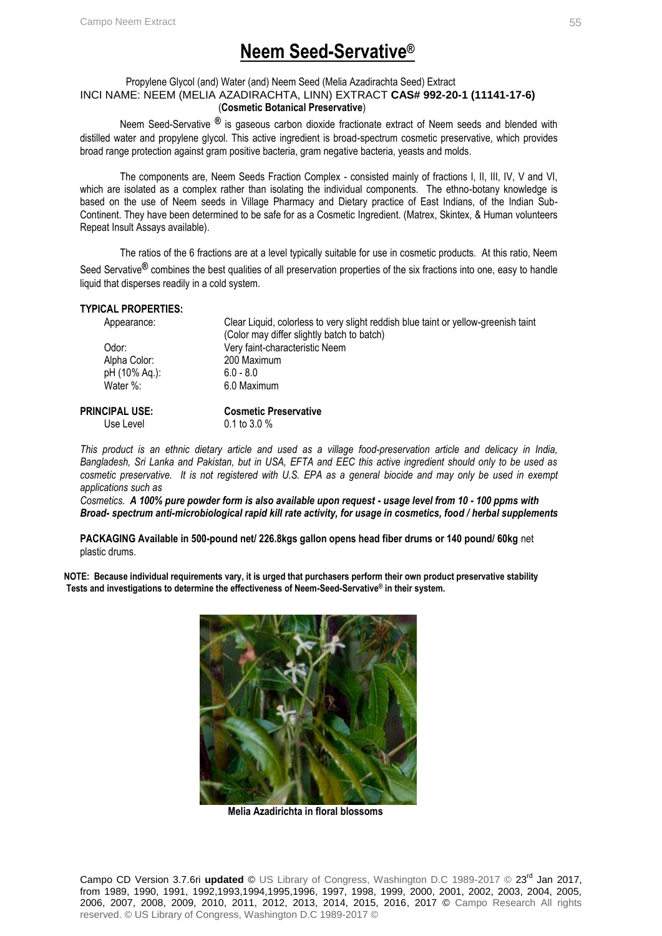# **Neem Seed-Servative®**

#### Propylene Glycol (and) Water (and) Neem Seed (Melia Azadirachta Seed) Extract INCI NAME: NEEM (MELIA AZADIRACHTA, LINN) EXTRACT **CAS# 992-20-1 (11141-17-6)** (**Cosmetic Botanical Preservative**)

Neem Seed-Servative **®** is gaseous carbon dioxide fractionate extract of Neem seeds and blended with distilled water and propylene glycol. This active ingredient is broad-spectrum cosmetic preservative, which provides broad range protection against gram positive bacteria, gram negative bacteria, yeasts and molds.

The components are, Neem Seeds Fraction Complex - consisted mainly of fractions I, II, III, IV, V and VI, which are isolated as a complex rather than isolating the individual components. The ethno-botany knowledge is based on the use of Neem seeds in Village Pharmacy and Dietary practice of East Indians, of the Indian Sub-Continent. They have been determined to be safe for as a Cosmetic Ingredient. (Matrex, Skintex, & Human volunteers Repeat Insult Assays available).

The ratios of the 6 fractions are at a level typically suitable for use in cosmetic products. At this ratio, Neem Seed Servative**®** combines the best qualities of all preservation properties of the six fractions into one, easy to handle liquid that disperses readily in a cold system.

#### **TYPICAL PROPERTIES:**

| Appearance:    | Clear Liquid, colorless to very slight reddish blue taint or yellow-greenish taint<br>(Color may differ slightly batch to batch) |
|----------------|----------------------------------------------------------------------------------------------------------------------------------|
| Odor:          | Very faint-characteristic Neem                                                                                                   |
| Alpha Color:   | 200 Maximum                                                                                                                      |
| pH (10% Aq.):  | $6.0 - 8.0$                                                                                                                      |
| Water %:       | 6.0 Maximum                                                                                                                      |
| PRINCIPAL USE: | <b>Cosmetic Preservative</b>                                                                                                     |
| Use Level      | $0.1 \text{ to } 3.0 \%$                                                                                                         |

*This product is an ethnic dietary article and used as a village food-preservation article and delicacy in India, Bangladesh, Sri Lanka and Pakistan, but in USA, EFTA and EEC this active ingredient should only to be used as cosmetic preservative. It is not registered with U.S. EPA as a general biocide and may only be used in exempt applications such as* 

*Cosmetics. A 100% pure powder form is also available upon request - usage level from 10 - 100 ppms with Broad- spectrum anti-microbiological rapid kill rate activity, for usage in cosmetics, food / herbal supplements*

**PACKAGING Available in 500-pound net/ 226.8kgs gallon opens head fiber drums or 140 pound/ 60kg** net plastic drums.

**NOTE: Because individual requirements vary, it is urged that purchasers perform their own product preservative stability Tests and investigations to determine the effectiveness of Neem-Seed-Servative® in their system.** 



 **Melia Azadirichta in floral blossoms**

Campo CD Version 3.7.6ri updated © US Library of Congress, Washington D.C 1989-2017 © 23<sup>rd</sup> Jan 2017, from 1989, 1990, 1991, 1992,1993,1994,1995,1996, 1997, 1998, 1999, 2000, 2001, 2002, 2003, 2004, 2005, 2006, 2007, 2008, 2009, 2010, 2011, 2012, 2013, 2014, 2015, 2016, 2017 © Campo Research All rights reserved. © US Library of Congress, Washington D.C 1989-2017 ©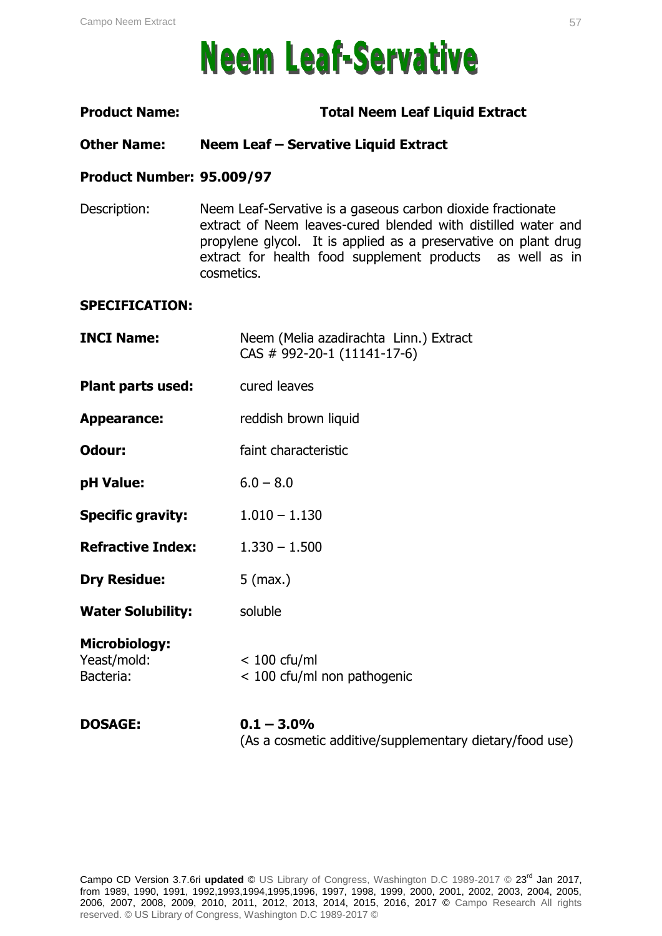# **Neem Leaf-Servative**

### **Product Name: Total Neem Leaf Liquid Extract**

### **Other Name: Neem Leaf – Servative Liquid Extract**

### **Product Number: 95.009/97**

Description: Neem Leaf-Servative is a gaseous carbon dioxide fractionate extract of Neem leaves-cured blended with distilled water and propylene glycol. It is applied as a preservative on plant drug extract for health food supplement products as well as in cosmetics.

#### **SPECIFICATION:**

| <b>DOSAGE:</b>                                   | $0.1 - 3.0\%$                                                         |
|--------------------------------------------------|-----------------------------------------------------------------------|
| <b>Microbiology:</b><br>Yeast/mold:<br>Bacteria: | $< 100$ cfu/ml<br>< 100 cfu/ml non pathogenic                         |
| <b>Water Solubility:</b>                         | soluble                                                               |
| <b>Dry Residue:</b>                              | $5$ (max.)                                                            |
| <b>Refractive Index:</b>                         | $1.330 - 1.500$                                                       |
| <b>Specific gravity:</b>                         | $1.010 - 1.130$                                                       |
| pH Value:                                        | $6.0 - 8.0$                                                           |
| Odour:                                           | faint characteristic                                                  |
| <b>Appearance:</b>                               | reddish brown liquid                                                  |
| Plant parts used:                                | cured leaves                                                          |
| <b>INCI Name:</b>                                | Neem (Melia azadirachta Linn.) Extract<br>CAS # 992-20-1 (11141-17-6) |

(As a cosmetic additive/supplementary dietary/food use)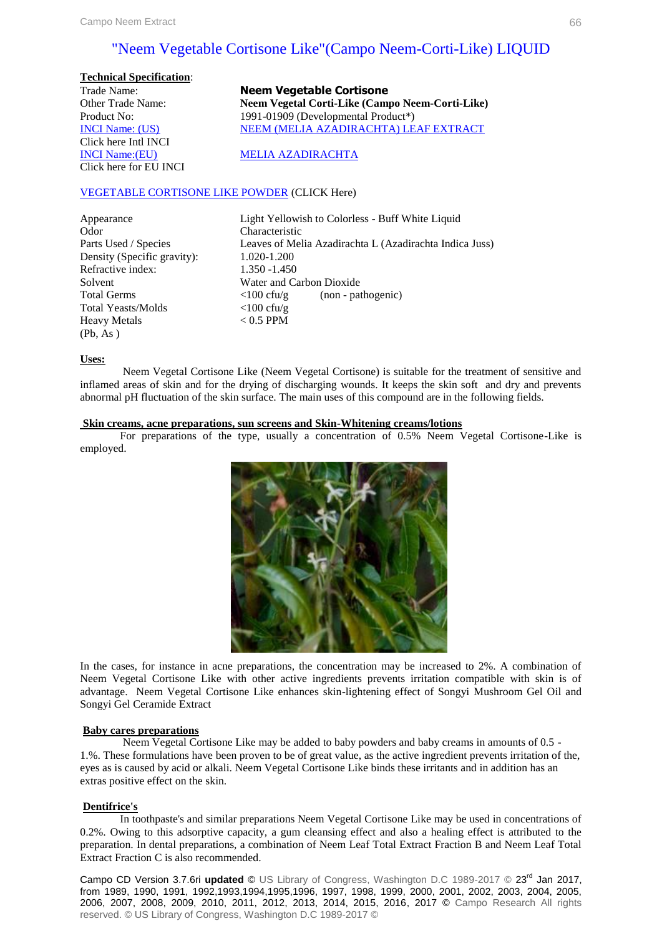### "Neem Vegetable Cortisone Like"(Campo Neem-Corti-Like) LIQUID

| <b>Technical Specification:</b> |
|---------------------------------|
| Trade Name:                     |
| Other Trade Name:               |
| Product No:                     |
| <b>INCI Name: (US)</b>          |
| Click here Intl INCI            |
| <b>INCI Name:</b> (EU)          |
| Click here for EU INCI          |

**Neem Vegetable Cortisone Neem Vegetal Corti-Like (Campo Neem-Corti-Like)** 1991-01909 (Developmental Product\*) NEEM (MELIA AZADIRACHTA) LEAF EXTRACT

**MELIA AZADIRACHTA** 

#### VEGETABLE CORTISONE LIKE POWDER (CLICK Here)

| Light             |
|-------------------|
| Char <sub>2</sub> |
| Leave             |
| 1.020             |
| 1.350             |
| Water             |
| < 100             |
| $<$ 100           |
| < 0.5             |
|                   |
|                   |

Yellowish to Colorless - Buff White Liquid acteristic es of Melia Azadirachta L (Azadirachta Indica Juss)  $-1.200$  $-1.450$ r and Carbon Dioxide  $ctu/g$  (non - pathogenic)  $cfu/g$ PPM

#### **Uses:**

 Neem Vegetal Cortisone Like (Neem Vegetal Cortisone) is suitable for the treatment of sensitive and inflamed areas of skin and for the drying of discharging wounds. It keeps the skin soft and dry and prevents abnormal pH fluctuation of the skin surface. The main uses of this compound are in the following fields.

#### **Skin creams, acne preparations, sun screens and Skin-Whitening creams/lotions**

For preparations of the type, usually a concentration of 0.5% Neem Vegetal Cortisone-Like is employed.



In the cases, for instance in acne preparations, the concentration may be increased to 2%. A combination of Neem Vegetal Cortisone Like with other active ingredients prevents irritation compatible with skin is of advantage. Neem Vegetal Cortisone Like enhances skin-lightening effect of Songyi Mushroom Gel Oil and Songyi Gel Ceramide Extract

#### **Baby cares preparations**

Neem Vegetal Cortisone Like may be added to baby powders and baby creams in amounts of 0.5 - 1.%. These formulations have been proven to be of great value, as the active ingredient prevents irritation of the, eyes as is caused by acid or alkali. Neem Vegetal Cortisone Like binds these irritants and in addition has an extras positive effect on the skin.

#### **Dentifrice's**

In toothpaste's and similar preparations Neem Vegetal Cortisone Like may be used in concentrations of 0.2%. Owing to this adsorptive capacity, a gum cleansing effect and also a healing effect is attributed to the preparation. In dental preparations, a combination of Neem Leaf Total Extract Fraction B and Neem Leaf Total Extract Fraction C is also recommended.

Campo CD Version 3.7.6ri **updated** © US Library of Congress, Washington D.C 1989-2017 © 23rd Jan 2017, from 1989, 1990, 1991, 1992,1993,1994,1995,1996, 1997, 1998, 1999, 2000, 2001, 2002, 2003, 2004, 2005, 2006, 2007, 2008, 2009, 2010, 2011, 2012, 2013, 2014, 2015, 2016, 2017 © Campo Research All rights reserved. © US Library of Congress, Washington D.C 1989-2017 ©